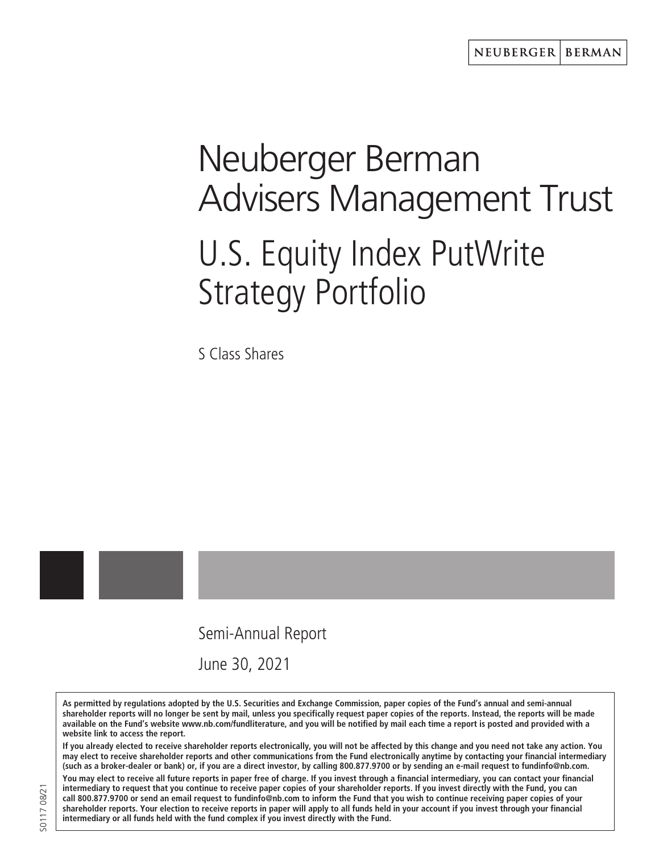# Neuberger Berman Advisers Management Trust U.S. Equity Index PutWrite Strategy Portfolio

S Class Shares



Semi-Annual Report

June 30, 2021

**As permitted by regulations adopted by the U.S. Securities and Exchange Commission, paper copies of the Fund's annual and semi-annual shareholder reports will no longer be sent by mail, unless you specifically request paper copies of the reports. Instead, the reports will be made available on the Fund's website www.nb.com/fundliterature, and you will be notified by mail each time a report is posted and provided with a website link to access the report.**

**If you already elected to receive shareholder reports electronically, you will not be affected by this change and you need not take any action. You may elect to receive shareholder reports and other communications from the Fund electronically anytime by contacting your financial intermediary (such as a broker-dealer or bank) or, if you are a direct investor, by calling 800.877.9700 or by sending an e-mail request to fundinfo@nb.com. You may elect to receive all future reports in paper free of charge. If you invest through a financial intermediary, you can contact your financial intermediary to request that you continue to receive paper copies of your shareholder reports. If you invest directly with the Fund, you can call 800.877.9700 or send an email request to fundinfo@nb.com to inform the Fund that you wish to continue receiving paper copies of your shareholder reports. Your election to receive reports in paper will apply to all funds held in your account if you invest through your financial intermediary or all funds held with the fund complex if you invest directly with the Fund.**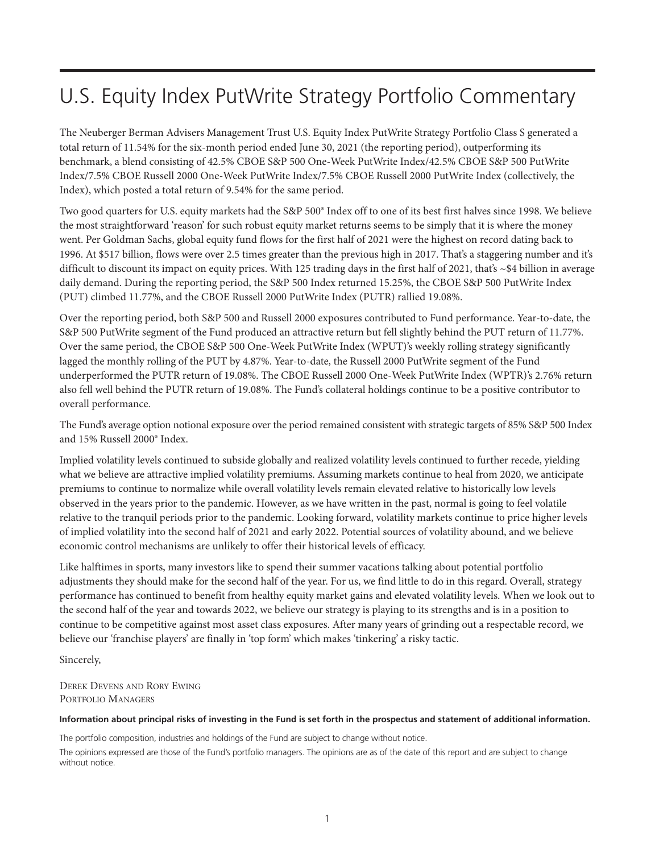## U.S. Equity Index PutWrite Strategy Portfolio Commentary

The Neuberger Berman Advisers Management Trust U.S. Equity Index PutWrite Strategy Portfolio Class S generated a total return of 11.54% for the six-month period ended June 30, 2021 (the reporting period), outperforming its benchmark, a blend consisting of 42.5% CBOE S&P 500 One-Week PutWrite Index/42.5% CBOE S&P 500 PutWrite Index/7.5% CBOE Russell 2000 One-Week PutWrite Index/7.5% CBOE Russell 2000 PutWrite Index (collectively, the Index), which posted a total return of 9.54% for the same period.

Two good quarters for U.S. equity markets had the S&P 500® Index off to one of its best first halves since 1998. We believe the most straightforward 'reason' for such robust equity market returns seems to be simply that it is where the money went. Per Goldman Sachs, global equity fund flows for the first half of 2021 were the highest on record dating back to 1996. At \$517 billion, flows were over 2.5 times greater than the previous high in 2017. That's a staggering number and it's difficult to discount its impact on equity prices. With 125 trading days in the first half of 2021, that's ~\$4 billion in average daily demand. During the reporting period, the S&P 500 Index returned 15.25%, the CBOE S&P 500 PutWrite Index (PUT) climbed 11.77%, and the CBOE Russell 2000 PutWrite Index (PUTR) rallied 19.08%.

Over the reporting period, both S&P 500 and Russell 2000 exposures contributed to Fund performance. Year-to-date, the S&P 500 PutWrite segment of the Fund produced an attractive return but fell slightly behind the PUT return of 11.77%. Over the same period, the CBOE S&P 500 One-Week PutWrite Index (WPUT)'s weekly rolling strategy significantly lagged the monthly rolling of the PUT by 4.87%. Year-to-date, the Russell 2000 PutWrite segment of the Fund underperformed the PUTR return of 19.08%. The CBOE Russell 2000 One-Week PutWrite Index (WPTR)'s 2.76% return also fell well behind the PUTR return of 19.08%. The Fund's collateral holdings continue to be a positive contributor to overall performance.

The Fund's average option notional exposure over the period remained consistent with strategic targets of 85% S&P 500 Index and 15% Russell 2000® Index.

Implied volatility levels continued to subside globally and realized volatility levels continued to further recede, yielding what we believe are attractive implied volatility premiums. Assuming markets continue to heal from 2020, we anticipate premiums to continue to normalize while overall volatility levels remain elevated relative to historically low levels observed in the years prior to the pandemic. However, as we have written in the past, normal is going to feel volatile relative to the tranquil periods prior to the pandemic. Looking forward, volatility markets continue to price higher levels of implied volatility into the second half of 2021 and early 2022. Potential sources of volatility abound, and we believe economic control mechanisms are unlikely to offer their historical levels of efficacy.

Like halftimes in sports, many investors like to spend their summer vacations talking about potential portfolio adjustments they should make for the second half of the year. For us, we find little to do in this regard. Overall, strategy performance has continued to benefit from healthy equity market gains and elevated volatility levels. When we look out to the second half of the year and towards 2022, we believe our strategy is playing to its strengths and is in a position to continue to be competitive against most asset class exposures. After many years of grinding out a respectable record, we believe our 'franchise players' are finally in 'top form' which makes 'tinkering' a risky tactic.

Sincerely,

DEREK DEVENS AND RORY EWING PORTFOLIO MANAGERS

#### **Information about principal risks of investing in the Fund is set forth in the prospectus and statement of additional information.**

The portfolio composition, industries and holdings of the Fund are subject to change without notice.

The opinions expressed are those of the Fund's portfolio managers. The opinions are as of the date of this report and are subject to change without notice.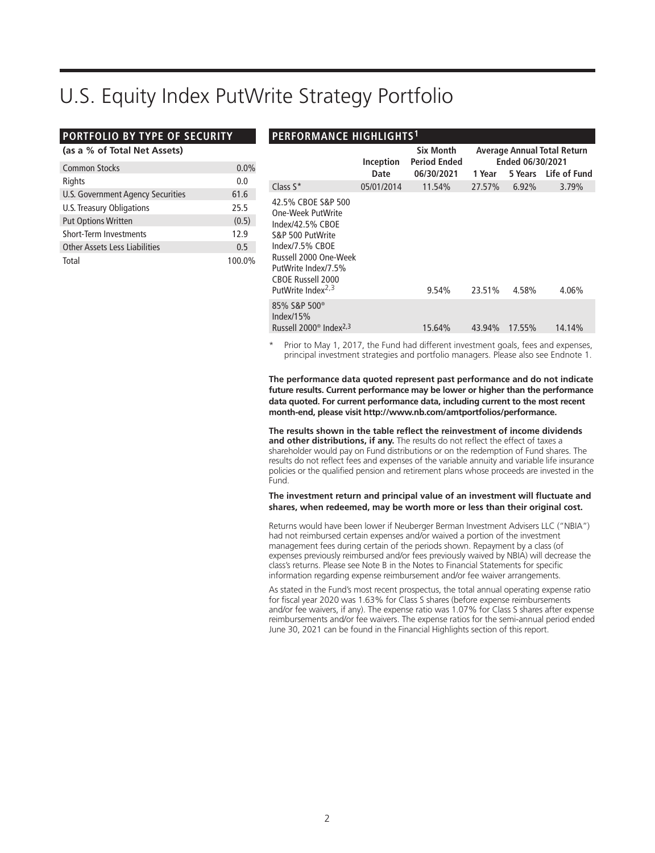## U.S. Equity Index PutWrite Strategy Portfolio

#### **PORTFOLIO BY TYPE OF SECURITY**

#### **(as a % of Total Net Assets)**

| <b>Common Stocks</b>              | 0.0%   |
|-----------------------------------|--------|
| <b>Rights</b>                     | 0.0    |
| U.S. Government Agency Securities | 61.6   |
| U.S. Treasury Obligations         | 25.5   |
| <b>Put Options Written</b>        | (0.5)  |
| Short-Term Investments            | 12.9   |
| Other Assets Less Liabilities     | 0.5    |
| Total                             | 100.0% |

#### **PERFORMANCE HIGHLIGHTS1**

|                                                                                                                                                                                                                 | Inception  | <b>Six Month</b><br><b>Period Ended</b> |        | Ended 06/30/2021 | Average Annual Total Return |
|-----------------------------------------------------------------------------------------------------------------------------------------------------------------------------------------------------------------|------------|-----------------------------------------|--------|------------------|-----------------------------|
|                                                                                                                                                                                                                 | Date       | 06/30/2021                              | 1 Year |                  | 5 Years Life of Fund        |
| Class $S^*$                                                                                                                                                                                                     | 05/01/2014 | 11.54%                                  | 27.57% | $6.92\%$         | 3.79%                       |
| 42.5% CBOE S&P 500<br>One-Week PutWrite<br>Index/42.5% CBOE<br>S&P 500 PutWrite<br>Index/7.5% CBOF<br>Russell 2000 One-Week<br>PutWrite Index/7.5%<br><b>CBOE Russell 2000</b><br>PutWrite Index <sup>2,3</sup> |            | 9.54%                                   | 23.51% | 4.58%            | 4.06%                       |
| 85% S&P 500 <sup>®</sup><br>Index $/15%$<br>Russell $2000^{\circ}$ Index <sup>2,3</sup>                                                                                                                         |            | 15.64%                                  | 43.94% | 17.55%           | 14.14%                      |

Prior to May 1, 2017, the Fund had different investment goals, fees and expenses, principal investment strategies and portfolio managers. Please also see Endnote 1.

**The performance data quoted represent past performance and do not indicate future results. Current performance may be lower or higher than the performance data quoted. For current performance data, including current to the most recent month-end, please visit http://www.nb.com/amtportfolios/performance.**

**The results shown in the table reflect the reinvestment of income dividends and other distributions, if any.** The results do not reflect the effect of taxes a shareholder would pay on Fund distributions or on the redemption of Fund shares. The results do not reflect fees and expenses of the variable annuity and variable life insurance policies or the qualified pension and retirement plans whose proceeds are invested in the Fund.

**The investment return and principal value of an investment will fluctuate and shares, when redeemed, may be worth more or less than their original cost.**

Returns would have been lower if Neuberger Berman Investment Advisers LLC ("NBIA") had not reimbursed certain expenses and/or waived a portion of the investment management fees during certain of the periods shown. Repayment by a class (of expenses previously reimbursed and/or fees previously waived by NBIA) will decrease the class's returns. Please see Note B in the Notes to Financial Statements for specific information regarding expense reimbursement and/or fee waiver arrangements.

As stated in the Fund's most recent prospectus, the total annual operating expense ratio for fiscal year 2020 was 1.63% for Class S shares (before expense reimbursements and/or fee waivers, if any). The expense ratio was 1.07% for Class S shares after expense reimbursements and/or fee waivers. The expense ratios for the semi-annual period ended June 30, 2021 can be found in the Financial Highlights section of this report.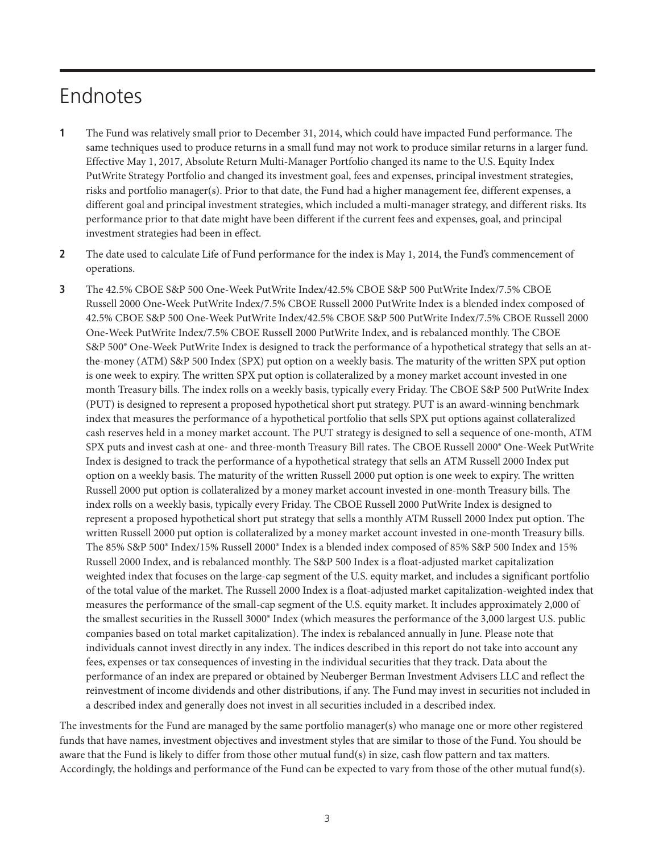## Endnotes

- **1** The Fund was relatively small prior to December 31, 2014, which could have impacted Fund performance. The same techniques used to produce returns in a small fund may not work to produce similar returns in a larger fund. Effective May 1, 2017, Absolute Return Multi-Manager Portfolio changed its name to the U.S. Equity Index PutWrite Strategy Portfolio and changed its investment goal, fees and expenses, principal investment strategies, risks and portfolio manager(s). Prior to that date, the Fund had a higher management fee, different expenses, a different goal and principal investment strategies, which included a multi-manager strategy, and different risks. Its performance prior to that date might have been different if the current fees and expenses, goal, and principal investment strategies had been in effect.
- **2** The date used to calculate Life of Fund performance for the index is May 1, 2014, the Fund's commencement of operations.
- **3** The 42.5% CBOE S&P 500 One-Week PutWrite Index/42.5% CBOE S&P 500 PutWrite Index/7.5% CBOE Russell 2000 One-Week PutWrite Index/7.5% CBOE Russell 2000 PutWrite Index is a blended index composed of 42.5% CBOE S&P 500 One-Week PutWrite Index/42.5% CBOE S&P 500 PutWrite Index/7.5% CBOE Russell 2000 One-Week PutWrite Index/7.5% CBOE Russell 2000 PutWrite Index, and is rebalanced monthly. The CBOE S&P 500® One-Week PutWrite Index is designed to track the performance of a hypothetical strategy that sells an atthe-money (ATM) S&P 500 Index (SPX) put option on a weekly basis. The maturity of the written SPX put option is one week to expiry. The written SPX put option is collateralized by a money market account invested in one month Treasury bills. The index rolls on a weekly basis, typically every Friday. The CBOE S&P 500 PutWrite Index (PUT) is designed to represent a proposed hypothetical short put strategy. PUT is an award-winning benchmark index that measures the performance of a hypothetical portfolio that sells SPX put options against collateralized cash reserves held in a money market account. The PUT strategy is designed to sell a sequence of one-month, ATM SPX puts and invest cash at one- and three-month Treasury Bill rates. The CBOE Russell 2000® One-Week PutWrite Index is designed to track the performance of a hypothetical strategy that sells an ATM Russell 2000 Index put option on a weekly basis. The maturity of the written Russell 2000 put option is one week to expiry. The written Russell 2000 put option is collateralized by a money market account invested in one-month Treasury bills. The index rolls on a weekly basis, typically every Friday. The CBOE Russell 2000 PutWrite Index is designed to represent a proposed hypothetical short put strategy that sells a monthly ATM Russell 2000 Index put option. The written Russell 2000 put option is collateralized by a money market account invested in one-month Treasury bills. The 85% S&P 500® Index/15% Russell 2000® Index is a blended index composed of 85% S&P 500 Index and 15% Russell 2000 Index, and is rebalanced monthly. The S&P 500 Index is a float-adjusted market capitalization weighted index that focuses on the large-cap segment of the U.S. equity market, and includes a significant portfolio of the total value of the market. The Russell 2000 Index is a float-adjusted market capitalization-weighted index that measures the performance of the small-cap segment of the U.S. equity market. It includes approximately 2,000 of the smallest securities in the Russell 3000® Index (which measures the performance of the 3,000 largest U.S. public companies based on total market capitalization). The index is rebalanced annually in June. Please note that individuals cannot invest directly in any index. The indices described in this report do not take into account any fees, expenses or tax consequences of investing in the individual securities that they track. Data about the performance of an index are prepared or obtained by Neuberger Berman Investment Advisers LLC and reflect the reinvestment of income dividends and other distributions, if any. The Fund may invest in securities not included in a described index and generally does not invest in all securities included in a described index.

The investments for the Fund are managed by the same portfolio manager(s) who manage one or more other registered funds that have names, investment objectives and investment styles that are similar to those of the Fund. You should be aware that the Fund is likely to differ from those other mutual fund(s) in size, cash flow pattern and tax matters. Accordingly, the holdings and performance of the Fund can be expected to vary from those of the other mutual fund(s).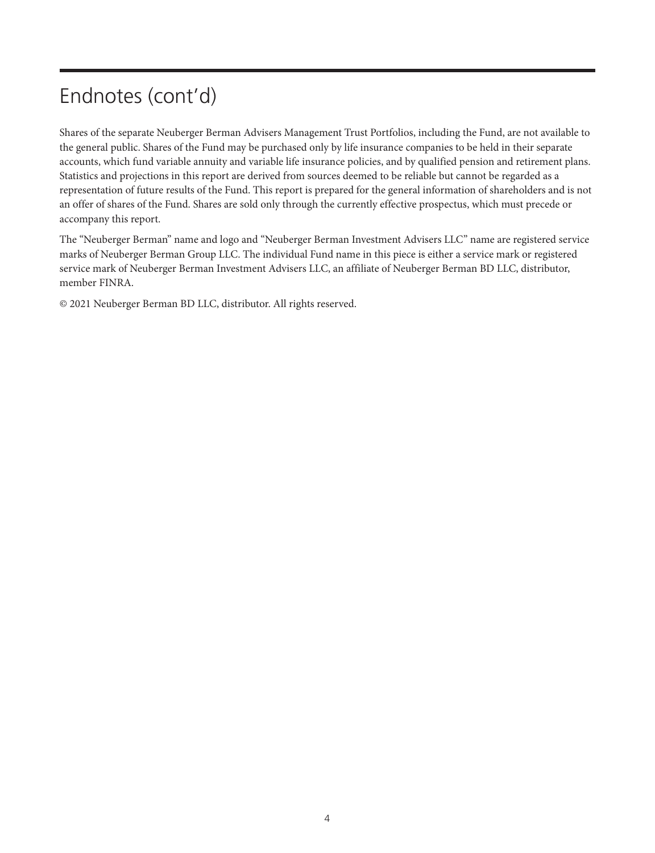## Endnotes (cont'd)

Shares of the separate Neuberger Berman Advisers Management Trust Portfolios, including the Fund, are not available to the general public. Shares of the Fund may be purchased only by life insurance companies to be held in their separate accounts, which fund variable annuity and variable life insurance policies, and by qualified pension and retirement plans. Statistics and projections in this report are derived from sources deemed to be reliable but cannot be regarded as a representation of future results of the Fund. This report is prepared for the general information of shareholders and is not an offer of shares of the Fund. Shares are sold only through the currently effective prospectus, which must precede or accompany this report.

The "Neuberger Berman" name and logo and "Neuberger Berman Investment Advisers LLC" name are registered service marks of Neuberger Berman Group LLC. The individual Fund name in this piece is either a service mark or registered service mark of Neuberger Berman Investment Advisers LLC, an affiliate of Neuberger Berman BD LLC, distributor, member FINRA.

© 2021 Neuberger Berman BD LLC, distributor. All rights reserved.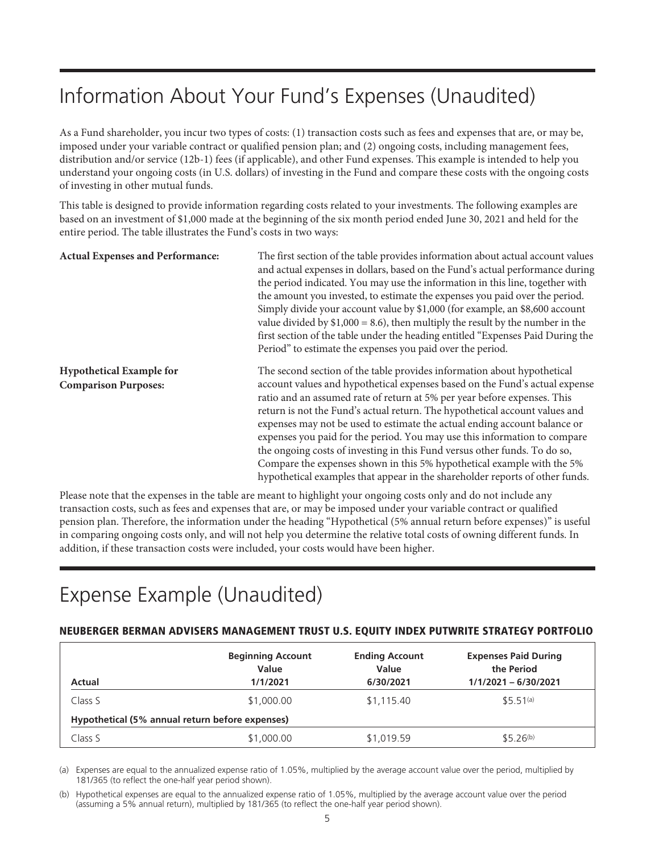## Information About Your Fund's Expenses (Unaudited)

As a Fund shareholder, you incur two types of costs: (1) transaction costs such as fees and expenses that are, or may be, imposed under your variable contract or qualified pension plan; and (2) ongoing costs, including management fees, distribution and/or service (12b-1) fees (if applicable), and other Fund expenses. This example is intended to help you understand your ongoing costs (in U.S. dollars) of investing in the Fund and compare these costs with the ongoing costs of investing in other mutual funds.

This table is designed to provide information regarding costs related to your investments. The following examples are based on an investment of \$1,000 made at the beginning of the six month period ended June 30, 2021 and held for the entire period. The table illustrates the Fund's costs in two ways:

#### **Actual Expenses and Performance:**

The first section of the table provides information about actual account values and actual expenses in dollars, based on the Fund's actual performance during the period indicated. You may use the information in this line, together with the amount you invested, to estimate the expenses you paid over the period. Simply divide your account value by \$1,000 (for example, an \$8,600 account value divided by  $$1,000 = 8.6$ , then multiply the result by the number in the first section of the table under the heading entitled "Expenses Paid During the Period" to estimate the expenses you paid over the period.

**Hypothetical Example for Comparison Purposes:**

The second section of the table provides information about hypothetical account values and hypothetical expenses based on the Fund's actual expense ratio and an assumed rate of return at 5% per year before expenses. This return is not the Fund's actual return. The hypothetical account values and expenses may not be used to estimate the actual ending account balance or expenses you paid for the period. You may use this information to compare the ongoing costs of investing in this Fund versus other funds. To do so, Compare the expenses shown in this 5% hypothetical example with the 5% hypothetical examples that appear in the shareholder reports of other funds.

Please note that the expenses in the table are meant to highlight your ongoing costs only and do not include any transaction costs, such as fees and expenses that are, or may be imposed under your variable contract or qualified pension plan. Therefore, the information under the heading "Hypothetical (5% annual return before expenses)" is useful in comparing ongoing costs only, and will not help you determine the relative total costs of owning different funds. In addition, if these transaction costs were included, your costs would have been higher.

## Expense Example (Unaudited)

#### NEUBERGER BERMAN ADVISERS MANAGEMENT TRUST U.S. EQUITY INDEX PUTWRITE STRATEGY PORTFOLIO

| Actual                                          | <b>Beginning Account</b><br>Value<br>1/1/2021 | <b>Ending Account</b><br>Value<br>6/30/2021 | <b>Expenses Paid During</b><br>the Period<br>$1/1/2021 - 6/30/2021$ |
|-------------------------------------------------|-----------------------------------------------|---------------------------------------------|---------------------------------------------------------------------|
| Class S                                         | \$1,000.00                                    | \$1,115.40                                  | \$5.51(a)                                                           |
| Hypothetical (5% annual return before expenses) |                                               |                                             |                                                                     |
| Class S                                         | \$1,000.00                                    | \$1,019.59                                  | \$5.26 <sup>(b)</sup>                                               |

(a) Expenses are equal to the annualized expense ratio of 1.05%, multiplied by the average account value over the period, multiplied by 181/365 (to reflect the one-half year period shown).

(b) Hypothetical expenses are equal to the annualized expense ratio of 1.05%, multiplied by the average account value over the period (assuming a 5% annual return), multiplied by 181/365 (to reflect the one-half year period shown).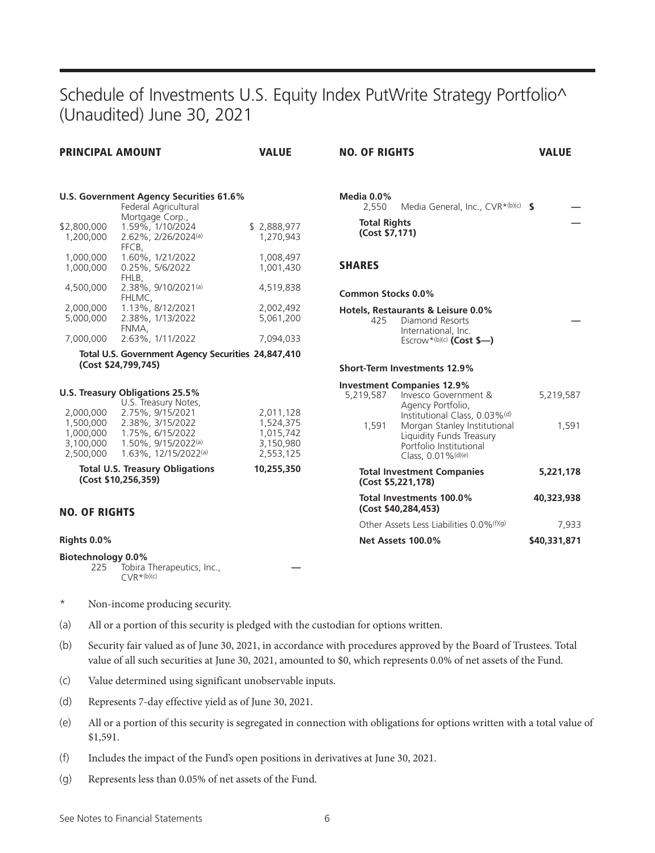### Schedule of Investments U.S. Equity Index PutWrite Strategy Portfolio^ (Unaudited) June 30, 2021

| <b>PRINCIPAL AMOUNT</b>                          |                                                                                     | <b>VALUE</b>                                     | <b>NO. OF RIGHTS</b>                  |                                                                                                                                                         | <b>VALUE</b> |
|--------------------------------------------------|-------------------------------------------------------------------------------------|--------------------------------------------------|---------------------------------------|---------------------------------------------------------------------------------------------------------------------------------------------------------|--------------|
|                                                  | <b>U.S. Government Agency Securities 61.6%</b><br>Federal Agricultural              |                                                  | Media 0.0%<br>2,550                   | Media General, Inc., $CVR*(b)(c)$ \$                                                                                                                    |              |
| \$2,800,000<br>1,200,000                         | Mortgage Corp.,<br>1.59%, 1/10/2024<br>2.62%, 2/26/2024(a)<br>FFCB,                 | \$2,888,977<br>1,270,943                         | <b>Total Rights</b><br>(Cost \$7,171) |                                                                                                                                                         |              |
| 1,000,000<br>1,000,000                           | 1.60%, 1/21/2022<br>0.25%, 5/6/2022<br>FHLB,                                        | 1,008,497<br>1,001,430                           | <b>SHARES</b>                         |                                                                                                                                                         |              |
| 4,500,000                                        | 2.38%, 9/10/2021(a)<br>FHLMC,                                                       | 4,519,838                                        | Common Stocks 0.0%                    |                                                                                                                                                         |              |
| 2,000,000<br>5,000,000                           | 1.13%, 8/12/2021<br>2.38%, 1/13/2022<br>FNMA.                                       | 2,002,492<br>5,061,200                           | 425                                   | Hotels, Restaurants & Leisure 0.0%<br>Diamond Resorts                                                                                                   |              |
| 7,000,000                                        | 2.63%, 1/11/2022                                                                    | 7,094,033                                        |                                       | International, Inc.<br>Escrow*(b)(c) (Cost \$-)                                                                                                         |              |
|                                                  | Total U.S. Government Agency Securities 24,847,410<br>(Cost \$24,799,745)           |                                                  |                                       |                                                                                                                                                         |              |
|                                                  |                                                                                     |                                                  |                                       | <b>Short-Term Investments 12.9%</b>                                                                                                                     |              |
| 2,000,000                                        | U.S. Treasury Obligations 25.5%<br>U.S. Treasury Notes,<br>2.75%, 9/15/2021         | 2,011,128                                        | 5,219,587                             | <b>Investment Companies 12.9%</b><br>Invesco Government &<br>Agency Portfolio,                                                                          | 5,219,587    |
| 1,500,000<br>1,000,000<br>3,100,000<br>2,500,000 | 2.38%, 3/15/2022<br>1.75%, 6/15/2022<br>1.50%, 9/15/2022(a)<br>1.63%, 12/15/2022(a) | 1,524,375<br>1,015,742<br>3,150,980<br>2,553,125 | 1,591                                 | Institutional Class, 0.03% <sup>(d)</sup><br>Morgan Stanley Institutional<br>Liquidity Funds Treasury<br>Portfolio Institutional<br>Class, 0.01% (d)(e) | 1,591        |
|                                                  | <b>Total U.S. Treasury Obligations</b><br>(Cost \$10,256,359)                       | 10,255,350                                       |                                       | <b>Total Investment Companies</b><br>(Cost \$5,221,178)                                                                                                 | 5,221,178    |
| <b>NO. OF RIGHTS</b>                             |                                                                                     |                                                  |                                       | Total Investments 100.0%<br>(Cost \$40,284,453)                                                                                                         | 40,323,938   |
|                                                  |                                                                                     |                                                  |                                       | Other Assets Less Liabilities 0.0% (f)(g)                                                                                                               | 7,933        |
| Rights 0.0%                                      |                                                                                     |                                                  |                                       | Net Assets 100.0%                                                                                                                                       | \$40,331,871 |
| <b>Biotechnology 0.0%</b><br>225                 | Tobira Therapeutics, Inc.,                                                          |                                                  |                                       |                                                                                                                                                         |              |

 $CVR^{\star(b)(c)}$ 

- \* Non-income producing security.
- (a) All or a portion of this security is pledged with the custodian for options written.
- (b) Security fair valued as of June 30, 2021, in accordance with procedures approved by the Board of Trustees. Total value of all such securities at June 30, 2021, amounted to \$0, which represents 0.0% of net assets of the Fund.
- (c) Value determined using significant unobservable inputs.
- (d) Represents 7-day effective yield as of June 30, 2021.
- (e) All or a portion of this security is segregated in connection with obligations for options written with a total value of \$1,591.
- (f) Includes the impact of the Fund's open positions in derivatives at June 30, 2021.
- (g) Represents less than 0.05% of net assets of the Fund.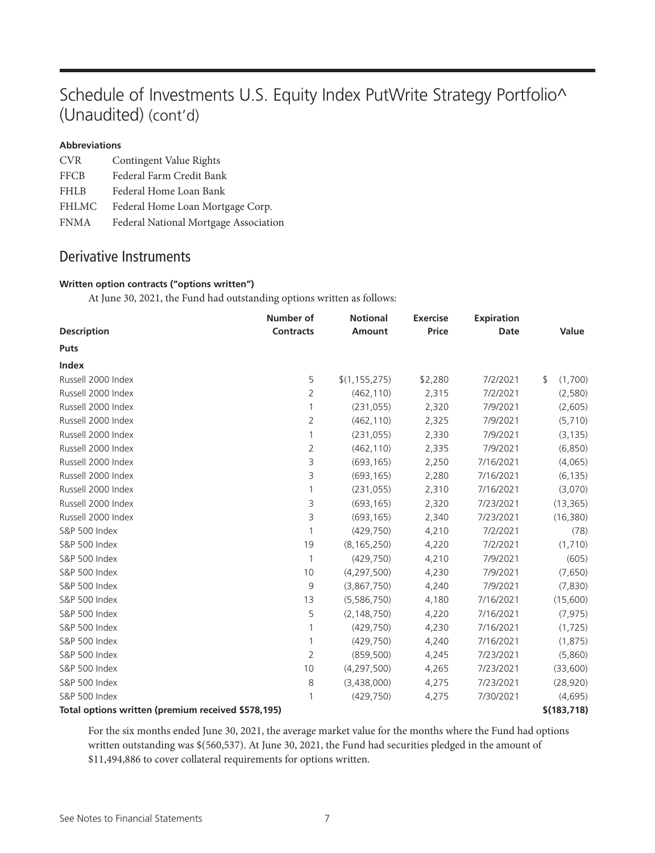## Schedule of Investments U.S. Equity Index PutWrite Strategy Portfolio^ (Unaudited) (cont'd)

#### **Abbreviations**

| <b>CVR</b>   | Contingent Value Rights               |
|--------------|---------------------------------------|
| <b>FFCB</b>  | Federal Farm Credit Bank              |
| <b>FHLB</b>  | Federal Home Loan Bank                |
| <b>FHLMC</b> | Federal Home Loan Mortgage Corp.      |
| <b>FNMA</b>  | Federal National Mortgage Association |

### Derivative Instruments

### **Written option contracts ("options written")**

At June 30, 2021, the Fund had outstanding options written as follows:

|                                                    | Number of        | <b>Notional</b> | <b>Exercise</b> | <b>Expiration</b> |               |
|----------------------------------------------------|------------------|-----------------|-----------------|-------------------|---------------|
| <b>Description</b>                                 | <b>Contracts</b> | Amount          | Price           | Date              | Value         |
| Puts                                               |                  |                 |                 |                   |               |
| <b>Index</b>                                       |                  |                 |                 |                   |               |
| Russell 2000 Index                                 | 5                | \$(1, 155, 275) | \$2,280         | 7/2/2021          | \$<br>(1,700) |
| Russell 2000 Index                                 | 2                | (462, 110)      | 2,315           | 7/2/2021          | (2,580)       |
| Russell 2000 Index                                 | 1                | (231, 055)      | 2,320           | 7/9/2021          | (2,605)       |
| Russell 2000 Index                                 | $\overline{2}$   | (462, 110)      | 2,325           | 7/9/2021          | (5,710)       |
| Russell 2000 Index                                 | 1                | (231, 055)      | 2,330           | 7/9/2021          | (3, 135)      |
| Russell 2000 Index                                 | 2                | (462, 110)      | 2,335           | 7/9/2021          | (6,850)       |
| Russell 2000 Index                                 | 3                | (693, 165)      | 2,250           | 7/16/2021         | (4,065)       |
| Russell 2000 Index                                 | 3                | (693, 165)      | 2,280           | 7/16/2021         | (6, 135)      |
| Russell 2000 Index                                 | 1                | (231, 055)      | 2,310           | 7/16/2021         | (3,070)       |
| Russell 2000 Index                                 | 3                | (693, 165)      | 2,320           | 7/23/2021         | (13, 365)     |
| Russell 2000 Index                                 | 3                | (693, 165)      | 2,340           | 7/23/2021         | (16,380)      |
| S&P 500 Index                                      | 1                | (429, 750)      | 4,210           | 7/2/2021          | (78)          |
| S&P 500 Index                                      | 19               | (8, 165, 250)   | 4,220           | 7/2/2021          | (1,710)       |
| S&P 500 Index                                      | 1                | (429, 750)      | 4,210           | 7/9/2021          | (605)         |
| <b>S&amp;P 500 Index</b>                           | 10               | (4,297,500)     | 4,230           | 7/9/2021          | (7,650)       |
| S&P 500 Index                                      | 9                | (3,867,750)     | 4,240           | 7/9/2021          | (7,830)       |
| <b>S&amp;P 500 Index</b>                           | 13               | (5,586,750)     | 4,180           | 7/16/2021         | (15,600)      |
| S&P 500 Index                                      | 5                | (2, 148, 750)   | 4,220           | 7/16/2021         | (7, 975)      |
| S&P 500 Index                                      | 1                | (429, 750)      | 4,230           | 7/16/2021         | (1, 725)      |
| S&P 500 Index                                      | 1                | (429, 750)      | 4,240           | 7/16/2021         | (1, 875)      |
| S&P 500 Index                                      | $\overline{2}$   | (859, 500)      | 4,245           | 7/23/2021         | (5,860)       |
| S&P 500 Index                                      | 10               | (4,297,500)     | 4,265           | 7/23/2021         | (33,600)      |
| <b>S&amp;P 500 Index</b>                           | 8                | (3,438,000)     | 4,275           | 7/23/2021         | (28, 920)     |
| <b>S&amp;P 500 Index</b>                           | 1                | (429, 750)      | 4,275           | 7/30/2021         | (4,695)       |
| Total options written (premium received \$578,195) |                  |                 |                 |                   | \$(183, 718)  |

For the six months ended June 30, 2021, the average market value for the months where the Fund had options written outstanding was \$(560,537). At June 30, 2021, the Fund had securities pledged in the amount of \$11,494,886 to cover collateral requirements for options written.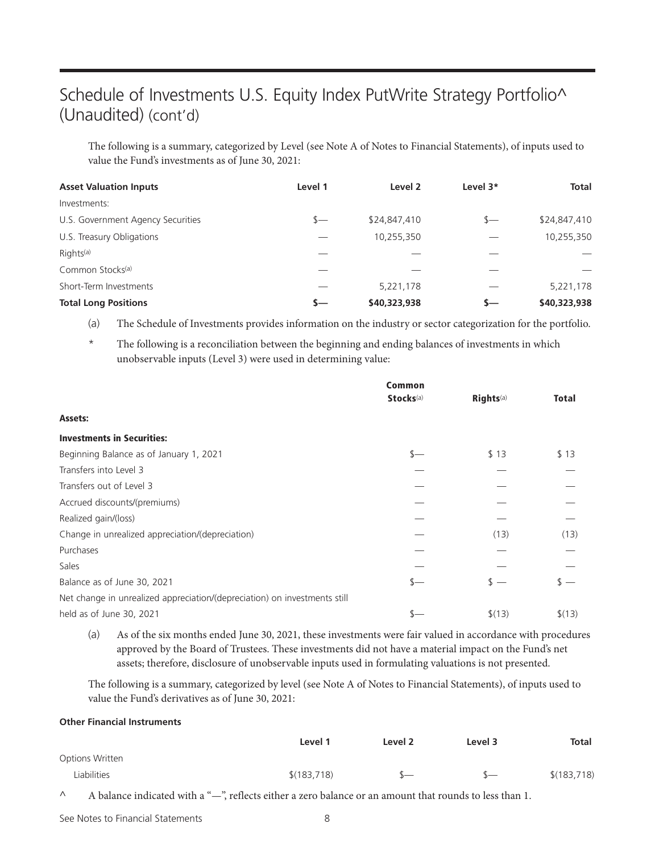## Schedule of Investments U.S. Equity Index PutWrite Strategy Portfolio^ (Unaudited) (cont'd)

The following is a summary, categorized by Level (see Note A of Notes to Financial Statements), of inputs used to value the Fund's investments as of June 30, 2021:

| <b>Asset Valuation Inputs</b>     | Level 1        | Level 2      | Level 3* | <b>Total</b> |
|-----------------------------------|----------------|--------------|----------|--------------|
| Investments:                      |                |              |          |              |
| U.S. Government Agency Securities | $\mathcal{S}-$ | \$24,847,410 | $S-$     | \$24,847,410 |
| U.S. Treasury Obligations         |                | 10,255,350   |          | 10,255,350   |
| Rights <sup>(a)</sup>             |                |              |          |              |
| Common Stocks <sup>(a)</sup>      |                |              |          |              |
| Short-Term Investments            |                | 5,221,178    |          | 5,221,178    |
| <b>Total Long Positions</b>       | s—             | \$40,323,938 | s—       | \$40,323,938 |

(a) The Schedule of Investments provides information on the industry or sector categorization for the portfolio.

\* The following is a reconciliation between the beginning and ending balances of investments in which unobservable inputs (Level 3) were used in determining value:

|                                                                           | Common<br>Stocks <sup>(a)</sup> | Rights <sup>(a)</sup> | <b>Total</b> |
|---------------------------------------------------------------------------|---------------------------------|-----------------------|--------------|
| Assets:                                                                   |                                 |                       |              |
| <b>Investments in Securities:</b>                                         |                                 |                       |              |
| Beginning Balance as of January 1, 2021                                   | $s-$                            | \$13                  | \$13         |
| Transfers into Level 3                                                    |                                 |                       |              |
| Transfers out of Level 3                                                  |                                 |                       |              |
| Accrued discounts/(premiums)                                              |                                 |                       |              |
| Realized gain/(loss)                                                      |                                 |                       |              |
| Change in unrealized appreciation/(depreciation)                          |                                 | (13)                  | (13)         |
| Purchases                                                                 |                                 |                       |              |
| Sales                                                                     |                                 |                       |              |
| Balance as of June 30, 2021                                               | $\mathsf{S}-$                   |                       |              |
| Net change in unrealized appreciation/(depreciation) on investments still |                                 |                       |              |
| held as of June 30, 2021                                                  | \$-                             | \$(13)                | \$(13)       |

(a) As of the six months ended June 30, 2021, these investments were fair valued in accordance with procedures approved by the Board of Trustees. These investments did not have a material impact on the Fund's net assets; therefore, disclosure of unobservable inputs used in formulating valuations is not presented.

The following is a summary, categorized by level (see Note A of Notes to Financial Statements), of inputs used to value the Fund's derivatives as of June 30, 2021:

#### **Other Financial Instruments**

|                 | Level 1      | Level 2      | Level 3 | Total        |
|-----------------|--------------|--------------|---------|--------------|
| Options Written |              |              |         |              |
| Liabilities     | \$(183, 718) | $\leftarrow$ | $\sim$  | \$(183, 718) |

^ A balance indicated with a "—", reflects either a zero balance or an amount that rounds to less than 1.

See Notes to Financial Statements 8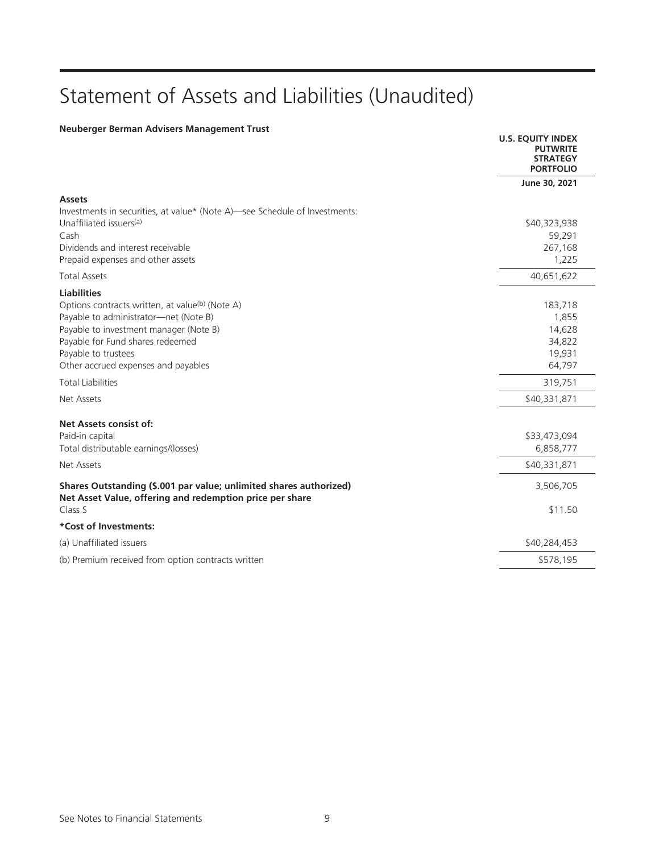## Statement of Assets and Liabilities (Unaudited)

| <b>Neuberger Berman Advisers Management Trust</b>                          | <b>U.S. EQUITY INDEX</b>                               |
|----------------------------------------------------------------------------|--------------------------------------------------------|
|                                                                            | <b>PUTWRITE</b><br><b>STRATEGY</b><br><b>PORTFOLIO</b> |
|                                                                            | June 30, 2021                                          |
| <b>Assets</b>                                                              |                                                        |
| Investments in securities, at value* (Note A)—see Schedule of Investments: |                                                        |
| Unaffiliated issuers <sup>(a)</sup>                                        | \$40,323,938                                           |
| Cash<br>Dividends and interest receivable                                  | 59,291<br>267,168                                      |
| Prepaid expenses and other assets                                          | 1,225                                                  |
| <b>Total Assets</b>                                                        | 40,651,622                                             |
| <b>Liabilities</b>                                                         |                                                        |
| Options contracts written, at value(b) (Note A)                            | 183,718                                                |
| Payable to administrator-net (Note B)                                      | 1,855                                                  |
| Payable to investment manager (Note B)                                     | 14,628                                                 |
| Payable for Fund shares redeemed                                           | 34,822                                                 |
| Payable to trustees                                                        | 19,931                                                 |
| Other accrued expenses and payables                                        | 64,797                                                 |
| <b>Total Liabilities</b>                                                   | 319,751                                                |
| Net Assets                                                                 | \$40,331,871                                           |
| Net Assets consist of:                                                     |                                                        |
| Paid-in capital                                                            | \$33,473,094                                           |
| Total distributable earnings/(losses)                                      | 6,858,777                                              |
| Net Assets                                                                 | \$40,331,871                                           |
| Shares Outstanding (\$.001 par value; unlimited shares authorized)         | 3,506,705                                              |
| Net Asset Value, offering and redemption price per share                   |                                                        |
| Class S                                                                    | \$11.50                                                |
| *Cost of Investments:                                                      |                                                        |
| (a) Unaffiliated issuers                                                   | \$40,284,453                                           |
| (b) Premium received from option contracts written                         | \$578,195                                              |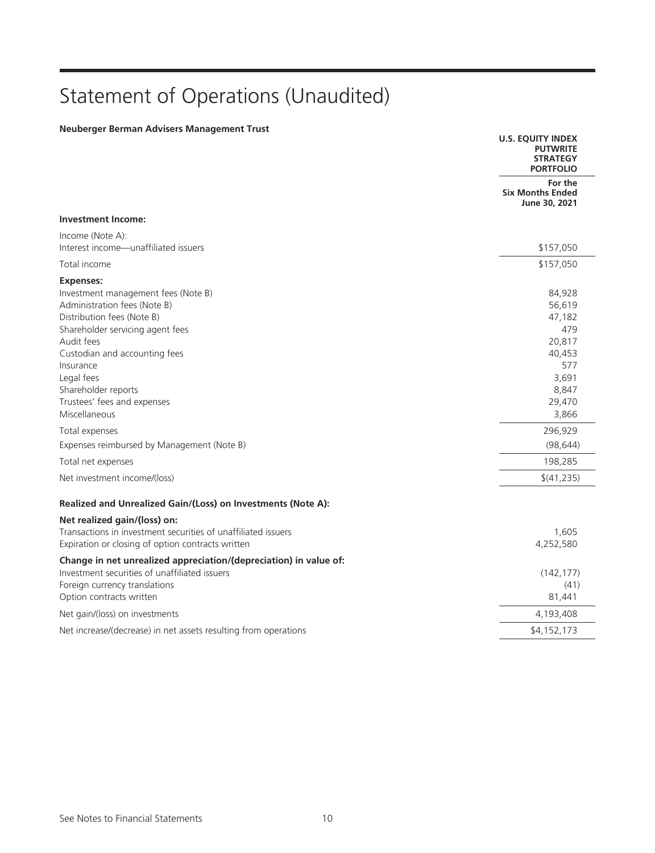## Statement of Operations (Unaudited)

### **Neuberger Berman Advisers Management Trust**

|                                                                                                                                                                                                                                                                                                            | <b>U.S. EQUITY INDEX</b><br><b>PUTWRITE</b><br><b>STRATEGY</b><br><b>PORTFOLIO</b>                |
|------------------------------------------------------------------------------------------------------------------------------------------------------------------------------------------------------------------------------------------------------------------------------------------------------------|---------------------------------------------------------------------------------------------------|
|                                                                                                                                                                                                                                                                                                            | For the<br><b>Six Months Ended</b><br>June 30, 2021                                               |
| <b>Investment Income:</b>                                                                                                                                                                                                                                                                                  |                                                                                                   |
| Income (Note A):<br>Interest income-unaffiliated issuers                                                                                                                                                                                                                                                   | \$157,050                                                                                         |
| Total income                                                                                                                                                                                                                                                                                               | \$157,050                                                                                         |
| <b>Expenses:</b><br>Investment management fees (Note B)<br>Administration fees (Note B)<br>Distribution fees (Note B)<br>Shareholder servicing agent fees<br>Audit fees<br>Custodian and accounting fees<br>Insurance<br>Legal fees<br>Shareholder reports<br>Trustees' fees and expenses<br>Miscellaneous | 84,928<br>56,619<br>47,182<br>479<br>20,817<br>40,453<br>577<br>3,691<br>8,847<br>29,470<br>3,866 |
| Total expenses                                                                                                                                                                                                                                                                                             | 296,929                                                                                           |
| Expenses reimbursed by Management (Note B)                                                                                                                                                                                                                                                                 | (98, 644)                                                                                         |
| Total net expenses                                                                                                                                                                                                                                                                                         | 198,285                                                                                           |
| Net investment income/(loss)                                                                                                                                                                                                                                                                               | \$(41,235)                                                                                        |
| Realized and Unrealized Gain/(Loss) on Investments (Note A):<br>Net realized gain/(loss) on:                                                                                                                                                                                                               |                                                                                                   |
| Transactions in investment securities of unaffiliated issuers<br>Expiration or closing of option contracts written                                                                                                                                                                                         | 1,605<br>4,252,580                                                                                |
| Change in net unrealized appreciation/(depreciation) in value of:<br>Investment securities of unaffiliated issuers<br>Foreign currency translations<br>Option contracts written                                                                                                                            | (142, 177)<br>(41)<br>81,441                                                                      |
| Net gain/(loss) on investments                                                                                                                                                                                                                                                                             | 4,193,408                                                                                         |
| Net increase/(decrease) in net assets resulting from operations                                                                                                                                                                                                                                            | \$4,152,173                                                                                       |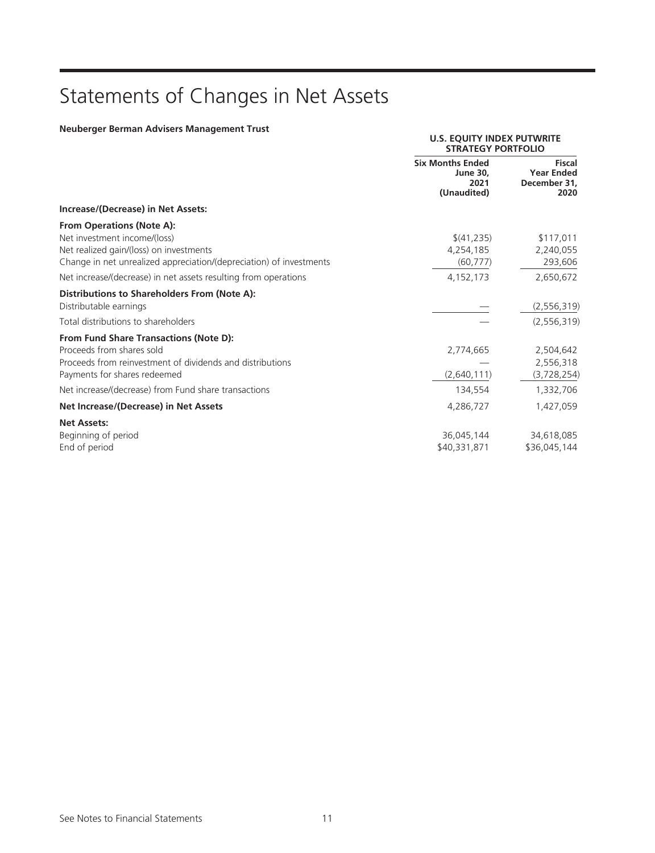## Statements of Changes in Net Assets

### **Neuberger Berman Advisers Management Trust**

|                                                                                                                                                                                    | <b>U.S. EQUITY INDEX PUTWRITE</b><br><b>STRATEGY PORTFOLIO</b>    |                                                            |  |
|------------------------------------------------------------------------------------------------------------------------------------------------------------------------------------|-------------------------------------------------------------------|------------------------------------------------------------|--|
|                                                                                                                                                                                    | <b>Six Months Ended</b><br><b>June 30,</b><br>2021<br>(Unaudited) | <b>Fiscal</b><br><b>Year Ended</b><br>December 31,<br>2020 |  |
| Increase/(Decrease) in Net Assets:                                                                                                                                                 |                                                                   |                                                            |  |
| <b>From Operations (Note A):</b><br>Net investment income/(loss)<br>Net realized gain/(loss) on investments<br>Change in net unrealized appreciation/(depreciation) of investments | \$(41,235)<br>4,254,185<br>(60, 777)                              | \$117,011<br>2,240,055<br>293,606                          |  |
| Net increase/(decrease) in net assets resulting from operations                                                                                                                    | 4, 152, 173                                                       | 2,650,672                                                  |  |
| <b>Distributions to Shareholders From (Note A):</b><br>Distributable earnings                                                                                                      |                                                                   | (2, 556, 319)                                              |  |
| Total distributions to shareholders                                                                                                                                                |                                                                   | (2, 556, 319)                                              |  |
| From Fund Share Transactions (Note D):<br>Proceeds from shares sold<br>Proceeds from reinvestment of dividends and distributions<br>Payments for shares redeemed                   | 2,774,665<br>(2,640,111)                                          | 2,504,642<br>2,556,318<br>(3,728,254)                      |  |
| Net increase/(decrease) from Fund share transactions                                                                                                                               | 134,554                                                           | 1,332,706                                                  |  |
| Net Increase/(Decrease) in Net Assets                                                                                                                                              | 4,286,727                                                         | 1,427,059                                                  |  |
| <b>Net Assets:</b><br>Beginning of period<br>End of period                                                                                                                         | 36,045,144<br>\$40,331,871                                        | 34,618,085<br>\$36,045,144                                 |  |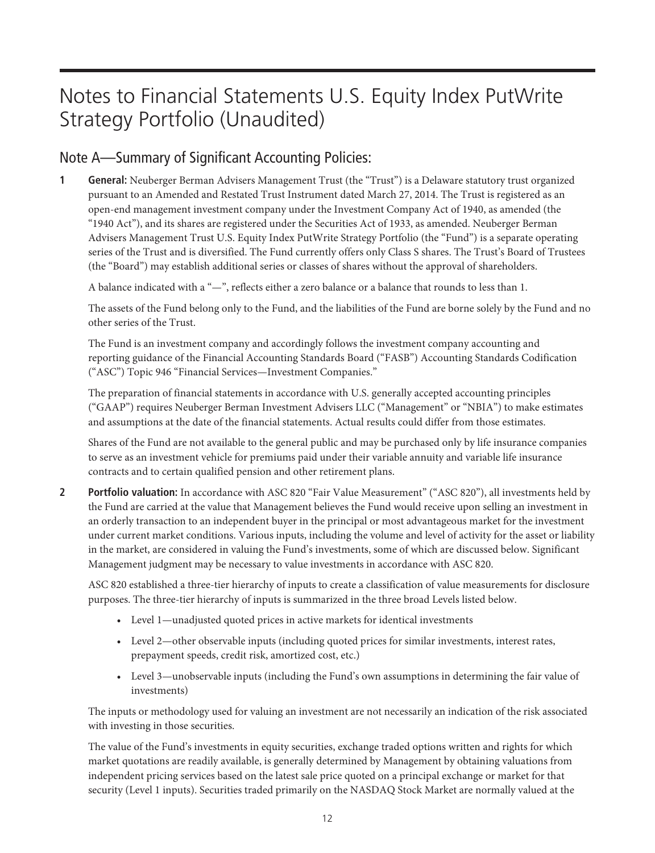## Notes to Financial Statements U.S. Equity Index PutWrite Strategy Portfolio (Unaudited)

### Note A—Summary of Significant Accounting Policies:

**1 General:** Neuberger Berman Advisers Management Trust (the "Trust") is a Delaware statutory trust organized pursuant to an Amended and Restated Trust Instrument dated March 27, 2014. The Trust is registered as an open-end management investment company under the Investment Company Act of 1940, as amended (the "1940 Act"), and its shares are registered under the Securities Act of 1933, as amended. Neuberger Berman Advisers Management Trust U.S. Equity Index PutWrite Strategy Portfolio (the "Fund") is a separate operating series of the Trust and is diversified. The Fund currently offers only Class S shares. The Trust's Board of Trustees (the "Board") may establish additional series or classes of shares without the approval of shareholders.

A balance indicated with a "—", reflects either a zero balance or a balance that rounds to less than 1.

The assets of the Fund belong only to the Fund, and the liabilities of the Fund are borne solely by the Fund and no other series of the Trust.

The Fund is an investment company and accordingly follows the investment company accounting and reporting guidance of the Financial Accounting Standards Board ("FASB") Accounting Standards Codification ("ASC") Topic 946 "Financial Services—Investment Companies."

The preparation of financial statements in accordance with U.S. generally accepted accounting principles ("GAAP") requires Neuberger Berman Investment Advisers LLC ("Management" or "NBIA") to make estimates and assumptions at the date of the financial statements. Actual results could differ from those estimates.

Shares of the Fund are not available to the general public and may be purchased only by life insurance companies to serve as an investment vehicle for premiums paid under their variable annuity and variable life insurance contracts and to certain qualified pension and other retirement plans.

**2 Portfolio valuation:** In accordance with ASC 820 "Fair Value Measurement" ("ASC 820"), all investments held by the Fund are carried at the value that Management believes the Fund would receive upon selling an investment in an orderly transaction to an independent buyer in the principal or most advantageous market for the investment under current market conditions. Various inputs, including the volume and level of activity for the asset or liability in the market, are considered in valuing the Fund's investments, some of which are discussed below. Significant Management judgment may be necessary to value investments in accordance with ASC 820.

ASC 820 established a three-tier hierarchy of inputs to create a classification of value measurements for disclosure purposes. The three-tier hierarchy of inputs is summarized in the three broad Levels listed below.

- Level 1—unadjusted quoted prices in active markets for identical investments
- Level 2—other observable inputs (including quoted prices for similar investments, interest rates, prepayment speeds, credit risk, amortized cost, etc.)
- Level 3—unobservable inputs (including the Fund's own assumptions in determining the fair value of investments)

The inputs or methodology used for valuing an investment are not necessarily an indication of the risk associated with investing in those securities.

The value of the Fund's investments in equity securities, exchange traded options written and rights for which market quotations are readily available, is generally determined by Management by obtaining valuations from independent pricing services based on the latest sale price quoted on a principal exchange or market for that security (Level 1 inputs). Securities traded primarily on the NASDAQ Stock Market are normally valued at the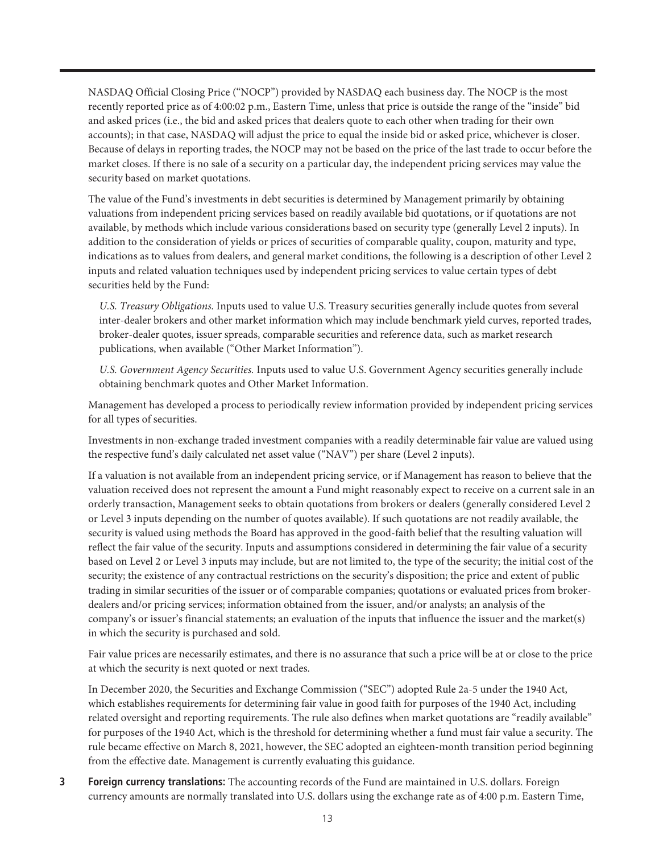NASDAQ Official Closing Price ("NOCP") provided by NASDAQ each business day. The NOCP is the most recently reported price as of 4:00:02 p.m., Eastern Time, unless that price is outside the range of the "inside" bid and asked prices (i.e., the bid and asked prices that dealers quote to each other when trading for their own accounts); in that case, NASDAQ will adjust the price to equal the inside bid or asked price, whichever is closer. Because of delays in reporting trades, the NOCP may not be based on the price of the last trade to occur before the market closes. If there is no sale of a security on a particular day, the independent pricing services may value the security based on market quotations.

The value of the Fund's investments in debt securities is determined by Management primarily by obtaining valuations from independent pricing services based on readily available bid quotations, or if quotations are not available, by methods which include various considerations based on security type (generally Level 2 inputs). In addition to the consideration of yields or prices of securities of comparable quality, coupon, maturity and type, indications as to values from dealers, and general market conditions, the following is a description of other Level 2 inputs and related valuation techniques used by independent pricing services to value certain types of debt securities held by the Fund:

*U.S. Treasury Obligations.* Inputs used to value U.S. Treasury securities generally include quotes from several inter-dealer brokers and other market information which may include benchmark yield curves, reported trades, broker-dealer quotes, issuer spreads, comparable securities and reference data, such as market research publications, when available ("Other Market Information").

*U.S. Government Agency Securities.* Inputs used to value U.S. Government Agency securities generally include obtaining benchmark quotes and Other Market Information.

Management has developed a process to periodically review information provided by independent pricing services for all types of securities.

Investments in non-exchange traded investment companies with a readily determinable fair value are valued using the respective fund's daily calculated net asset value ("NAV") per share (Level 2 inputs).

If a valuation is not available from an independent pricing service, or if Management has reason to believe that the valuation received does not represent the amount a Fund might reasonably expect to receive on a current sale in an orderly transaction, Management seeks to obtain quotations from brokers or dealers (generally considered Level 2 or Level 3 inputs depending on the number of quotes available). If such quotations are not readily available, the security is valued using methods the Board has approved in the good-faith belief that the resulting valuation will reflect the fair value of the security. Inputs and assumptions considered in determining the fair value of a security based on Level 2 or Level 3 inputs may include, but are not limited to, the type of the security; the initial cost of the security; the existence of any contractual restrictions on the security's disposition; the price and extent of public trading in similar securities of the issuer or of comparable companies; quotations or evaluated prices from brokerdealers and/or pricing services; information obtained from the issuer, and/or analysts; an analysis of the company's or issuer's financial statements; an evaluation of the inputs that influence the issuer and the market(s) in which the security is purchased and sold.

Fair value prices are necessarily estimates, and there is no assurance that such a price will be at or close to the price at which the security is next quoted or next trades.

In December 2020, the Securities and Exchange Commission ("SEC") adopted Rule 2a-5 under the 1940 Act, which establishes requirements for determining fair value in good faith for purposes of the 1940 Act, including related oversight and reporting requirements. The rule also defines when market quotations are "readily available" for purposes of the 1940 Act, which is the threshold for determining whether a fund must fair value a security. The rule became effective on March 8, 2021, however, the SEC adopted an eighteen-month transition period beginning from the effective date. Management is currently evaluating this guidance.

**3 Foreign currency translations:** The accounting records of the Fund are maintained in U.S. dollars. Foreign currency amounts are normally translated into U.S. dollars using the exchange rate as of 4:00 p.m. Eastern Time,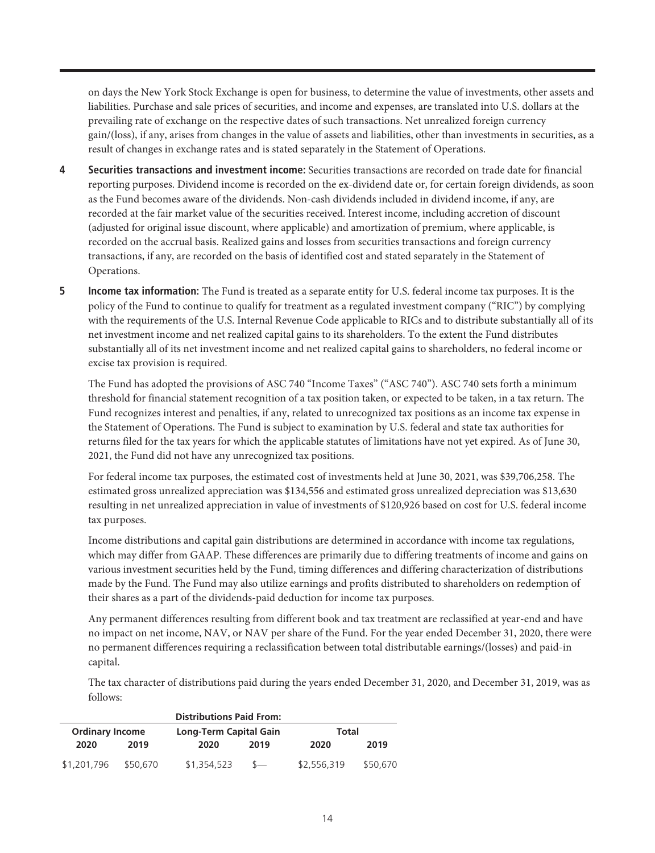on days the New York Stock Exchange is open for business, to determine the value of investments, other assets and liabilities. Purchase and sale prices of securities, and income and expenses, are translated into U.S. dollars at the prevailing rate of exchange on the respective dates of such transactions. Net unrealized foreign currency gain/(loss), if any, arises from changes in the value of assets and liabilities, other than investments in securities, as a result of changes in exchange rates and is stated separately in the Statement of Operations.

- **4 Securities transactions and investment income:** Securities transactions are recorded on trade date for financial reporting purposes. Dividend income is recorded on the ex-dividend date or, for certain foreign dividends, as soon as the Fund becomes aware of the dividends. Non-cash dividends included in dividend income, if any, are recorded at the fair market value of the securities received. Interest income, including accretion of discount (adjusted for original issue discount, where applicable) and amortization of premium, where applicable, is recorded on the accrual basis. Realized gains and losses from securities transactions and foreign currency transactions, if any, are recorded on the basis of identified cost and stated separately in the Statement of Operations.
- **5 Income tax information:** The Fund is treated as a separate entity for U.S. federal income tax purposes. It is the policy of the Fund to continue to qualify for treatment as a regulated investment company ("RIC") by complying with the requirements of the U.S. Internal Revenue Code applicable to RICs and to distribute substantially all of its net investment income and net realized capital gains to its shareholders. To the extent the Fund distributes substantially all of its net investment income and net realized capital gains to shareholders, no federal income or excise tax provision is required.

The Fund has adopted the provisions of ASC 740 "Income Taxes" ("ASC 740"). ASC 740 sets forth a minimum threshold for financial statement recognition of a tax position taken, or expected to be taken, in a tax return. The Fund recognizes interest and penalties, if any, related to unrecognized tax positions as an income tax expense in the Statement of Operations. The Fund is subject to examination by U.S. federal and state tax authorities for returns filed for the tax years for which the applicable statutes of limitations have not yet expired. As of June 30, 2021, the Fund did not have any unrecognized tax positions.

For federal income tax purposes, the estimated cost of investments held at June 30, 2021, was \$39,706,258. The estimated gross unrealized appreciation was \$134,556 and estimated gross unrealized depreciation was \$13,630 resulting in net unrealized appreciation in value of investments of \$120,926 based on cost for U.S. federal income tax purposes.

Income distributions and capital gain distributions are determined in accordance with income tax regulations, which may differ from GAAP. These differences are primarily due to differing treatments of income and gains on various investment securities held by the Fund, timing differences and differing characterization of distributions made by the Fund. The Fund may also utilize earnings and profits distributed to shareholders on redemption of their shares as a part of the dividends-paid deduction for income tax purposes.

Any permanent differences resulting from different book and tax treatment are reclassified at year-end and have no impact on net income, NAV, or NAV per share of the Fund. For the year ended December 31, 2020, there were no permanent differences requiring a reclassification between total distributable earnings/(losses) and paid-in capital.

The tax character of distributions paid during the years ended December 31, 2020, and December 31, 2019, was as follows:

| <b>Distributions Paid From:</b> |          |                               |                |             |          |  |  |  |
|---------------------------------|----------|-------------------------------|----------------|-------------|----------|--|--|--|
| <b>Ordinary Income</b>          |          | <b>Long-Term Capital Gain</b> |                | Total       |          |  |  |  |
| 2020                            | 2019     | 2020                          | 2019           | 2020        | 2019     |  |  |  |
| \$1,201,796                     | \$50.670 | \$1,354,523                   | $\mathcal{S}-$ | \$2.556.319 | \$50,670 |  |  |  |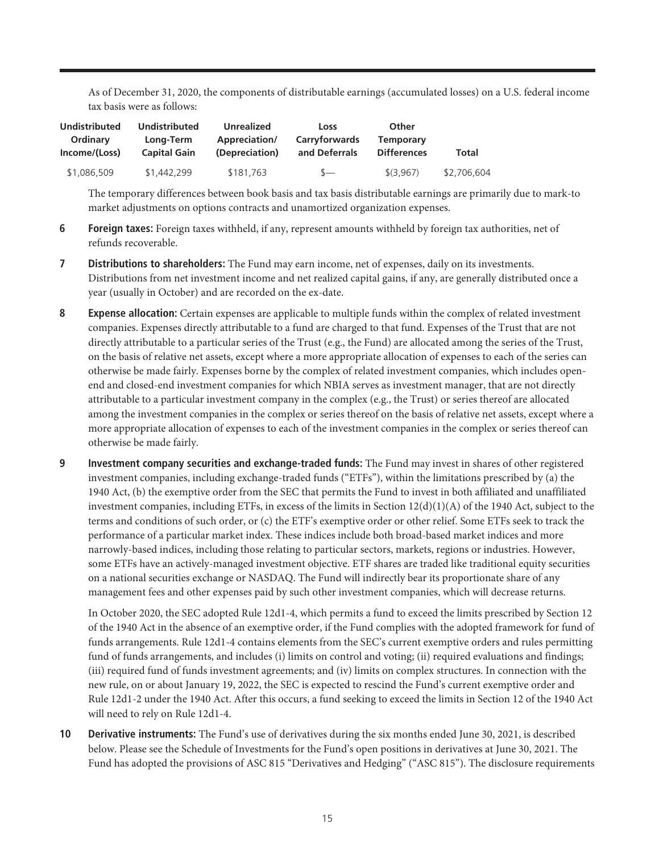As of December 31, 2020, the components of distributable earnings (accumulated losses) on a U.S. federal income tax basis were as follows:

| <b>Undistributed</b><br>Ordinary | <b>Undistributed</b><br>Long-Term | Unrealized<br>Appreciation/ | Loss<br>Carryforwards | Other<br><b>Temporary</b> |              |
|----------------------------------|-----------------------------------|-----------------------------|-----------------------|---------------------------|--------------|
| Income/(Loss)                    | <b>Capital Gain</b>               | (Depreciation)              | and Deferrals         | <b>Differences</b>        | <b>Total</b> |
| \$1,086,509                      | \$1,442,299                       | \$181,763                   | $\leftarrow$          | (3.967)                   | \$2,706,604  |

The temporary differences between book basis and tax basis distributable earnings are primarily due to mark-to market adjustments on options contracts and unamortized organization expenses.

- **6 Foreign taxes:** Foreign taxes withheld, if any, represent amounts withheld by foreign tax authorities, net of refunds recoverable.
- **7 Distributions to shareholders:** The Fund may earn income, net of expenses, daily on its investments. Distributions from net investment income and net realized capital gains, if any, are generally distributed once a year (usually in October) and are recorded on the ex-date.
- **8 Expense allocation:** Certain expenses are applicable to multiple funds within the complex of related investment companies. Expenses directly attributable to a fund are charged to that fund. Expenses of the Trust that are not directly attributable to a particular series of the Trust (e.g., the Fund) are allocated among the series of the Trust, on the basis of relative net assets, except where a more appropriate allocation of expenses to each of the series can otherwise be made fairly. Expenses borne by the complex of related investment companies, which includes openend and closed-end investment companies for which NBIA serves as investment manager, that are not directly attributable to a particular investment company in the complex (e.g., the Trust) or series thereof are allocated among the investment companies in the complex or series thereof on the basis of relative net assets, except where a more appropriate allocation of expenses to each of the investment companies in the complex or series thereof can otherwise be made fairly.
- **9 Investment company securities and exchange-traded funds:** The Fund may invest in shares of other registered investment companies, including exchange-traded funds ("ETFs"), within the limitations prescribed by (a) the 1940 Act, (b) the exemptive order from the SEC that permits the Fund to invest in both affiliated and unaffiliated investment companies, including ETFs, in excess of the limits in Section  $12(d)(1)(A)$  of the 1940 Act, subject to the terms and conditions of such order, or (c) the ETF's exemptive order or other relief. Some ETFs seek to track the performance of a particular market index. These indices include both broad-based market indices and more narrowly-based indices, including those relating to particular sectors, markets, regions or industries. However, some ETFs have an actively-managed investment objective. ETF shares are traded like traditional equity securities on a national securities exchange or NASDAQ. The Fund will indirectly bear its proportionate share of any management fees and other expenses paid by such other investment companies, which will decrease returns.

In October 2020, the SEC adopted Rule 12d1-4, which permits a fund to exceed the limits prescribed by Section 12 of the 1940 Act in the absence of an exemptive order, if the Fund complies with the adopted framework for fund of funds arrangements. Rule 12d1-4 contains elements from the SEC's current exemptive orders and rules permitting fund of funds arrangements, and includes (i) limits on control and voting; (ii) required evaluations and findings; (iii) required fund of funds investment agreements; and (iv) limits on complex structures. In connection with the new rule, on or about January 19, 2022, the SEC is expected to rescind the Fund's current exemptive order and Rule 12d1-2 under the 1940 Act. After this occurs, a fund seeking to exceed the limits in Section 12 of the 1940 Act will need to rely on Rule 12d1-4.

**10 Derivative instruments:** The Fund's use of derivatives during the six months ended June 30, 2021, is described below. Please see the Schedule of Investments for the Fund's open positions in derivatives at June 30, 2021. The Fund has adopted the provisions of ASC 815 "Derivatives and Hedging" ("ASC 815"). The disclosure requirements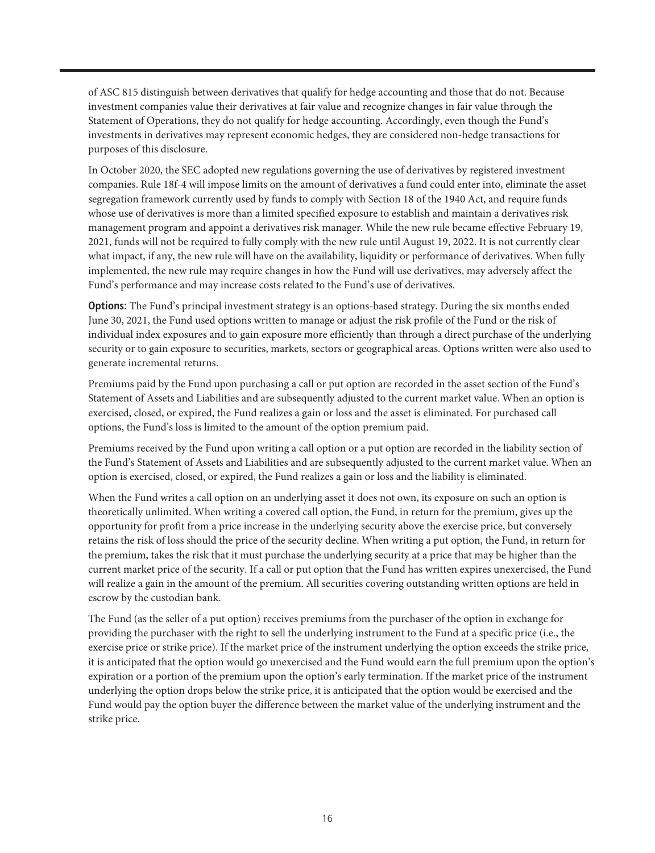of ASC 815 distinguish between derivatives that qualify for hedge accounting and those that do not. Because investment companies value their derivatives at fair value and recognize changes in fair value through the Statement of Operations, they do not qualify for hedge accounting. Accordingly, even though the Fund's investments in derivatives may represent economic hedges, they are considered non-hedge transactions for purposes of this disclosure.

In October 2020, the SEC adopted new regulations governing the use of derivatives by registered investment companies. Rule 18f-4 will impose limits on the amount of derivatives a fund could enter into, eliminate the asset segregation framework currently used by funds to comply with Section 18 of the 1940 Act, and require funds whose use of derivatives is more than a limited specified exposure to establish and maintain a derivatives risk management program and appoint a derivatives risk manager. While the new rule became effective February 19, 2021, funds will not be required to fully comply with the new rule until August 19, 2022. It is not currently clear what impact, if any, the new rule will have on the availability, liquidity or performance of derivatives. When fully implemented, the new rule may require changes in how the Fund will use derivatives, may adversely affect the Fund's performance and may increase costs related to the Fund's use of derivatives.

**Options:** The Fund's principal investment strategy is an options-based strategy. During the six months ended June 30, 2021, the Fund used options written to manage or adjust the risk profile of the Fund or the risk of individual index exposures and to gain exposure more efficiently than through a direct purchase of the underlying security or to gain exposure to securities, markets, sectors or geographical areas. Options written were also used to generate incremental returns.

Premiums paid by the Fund upon purchasing a call or put option are recorded in the asset section of the Fund's Statement of Assets and Liabilities and are subsequently adjusted to the current market value. When an option is exercised, closed, or expired, the Fund realizes a gain or loss and the asset is eliminated. For purchased call options, the Fund's loss is limited to the amount of the option premium paid.

Premiums received by the Fund upon writing a call option or a put option are recorded in the liability section of the Fund's Statement of Assets and Liabilities and are subsequently adjusted to the current market value. When an option is exercised, closed, or expired, the Fund realizes a gain or loss and the liability is eliminated.

When the Fund writes a call option on an underlying asset it does not own, its exposure on such an option is theoretically unlimited. When writing a covered call option, the Fund, in return for the premium, gives up the opportunity for profit from a price increase in the underlying security above the exercise price, but conversely retains the risk of loss should the price of the security decline. When writing a put option, the Fund, in return for the premium, takes the risk that it must purchase the underlying security at a price that may be higher than the current market price of the security. If a call or put option that the Fund has written expires unexercised, the Fund will realize a gain in the amount of the premium. All securities covering outstanding written options are held in escrow by the custodian bank.

The Fund (as the seller of a put option) receives premiums from the purchaser of the option in exchange for providing the purchaser with the right to sell the underlying instrument to the Fund at a specific price (i.e., the exercise price or strike price). If the market price of the instrument underlying the option exceeds the strike price, it is anticipated that the option would go unexercised and the Fund would earn the full premium upon the option's expiration or a portion of the premium upon the option's early termination. If the market price of the instrument underlying the option drops below the strike price, it is anticipated that the option would be exercised and the Fund would pay the option buyer the difference between the market value of the underlying instrument and the strike price.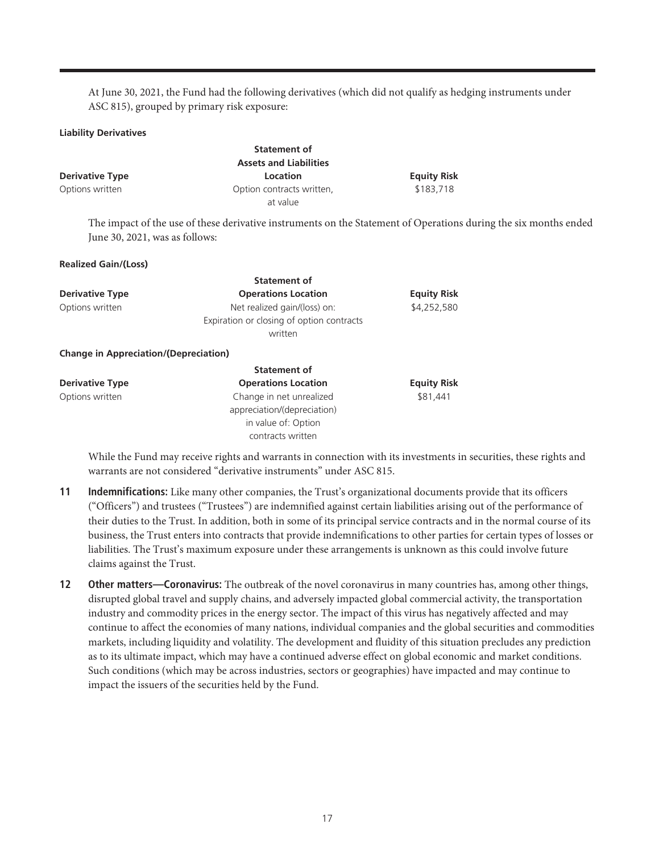At June 30, 2021, the Fund had the following derivatives (which did not qualify as hedging instruments under ASC 815), grouped by primary risk exposure:

#### **Liability Derivatives**

|                        | <b>Statement of</b>           |                    |
|------------------------|-------------------------------|--------------------|
|                        | <b>Assets and Liabilities</b> |                    |
| <b>Derivative Type</b> | Location                      | <b>Equity Risk</b> |
| Options written        | Option contracts written,     | \$183,718          |
|                        | at value                      |                    |

The impact of the use of these derivative instruments on the Statement of Operations during the six months ended June 30, 2021, was as follows:

#### **Realized Gain/(Loss)**

|                                              | <b>Statement of</b>                       |                    |
|----------------------------------------------|-------------------------------------------|--------------------|
| <b>Derivative Type</b>                       | <b>Operations Location</b>                | <b>Equity Risk</b> |
| Options written                              | Net realized gain/(loss) on:              | \$4,252,580        |
|                                              | Expiration or closing of option contracts |                    |
|                                              | written                                   |                    |
| <b>Change in Appreciation/(Depreciation)</b> |                                           |                    |
|                                              | <b>Statement of</b>                       |                    |
| <b>Derivative Type</b>                       | <b>Operations Location</b>                | <b>Equity Risk</b> |

Options written Change in net unrealized \$81,441 appreciation/(depreciation) in value of: Option contracts written

While the Fund may receive rights and warrants in connection with its investments in securities, these rights and warrants are not considered "derivative instruments" under ASC 815.

- **11 Indemnifications:** Like many other companies, the Trust's organizational documents provide that its officers ("Officers") and trustees ("Trustees") are indemnified against certain liabilities arising out of the performance of their duties to the Trust. In addition, both in some of its principal service contracts and in the normal course of its business, the Trust enters into contracts that provide indemnifications to other parties for certain types of losses or liabilities. The Trust's maximum exposure under these arrangements is unknown as this could involve future claims against the Trust.
- **12 Other matters—Coronavirus:** The outbreak of the novel coronavirus in many countries has, among other things, disrupted global travel and supply chains, and adversely impacted global commercial activity, the transportation industry and commodity prices in the energy sector. The impact of this virus has negatively affected and may continue to affect the economies of many nations, individual companies and the global securities and commodities markets, including liquidity and volatility. The development and fluidity of this situation precludes any prediction as to its ultimate impact, which may have a continued adverse effect on global economic and market conditions. Such conditions (which may be across industries, sectors or geographies) have impacted and may continue to impact the issuers of the securities held by the Fund.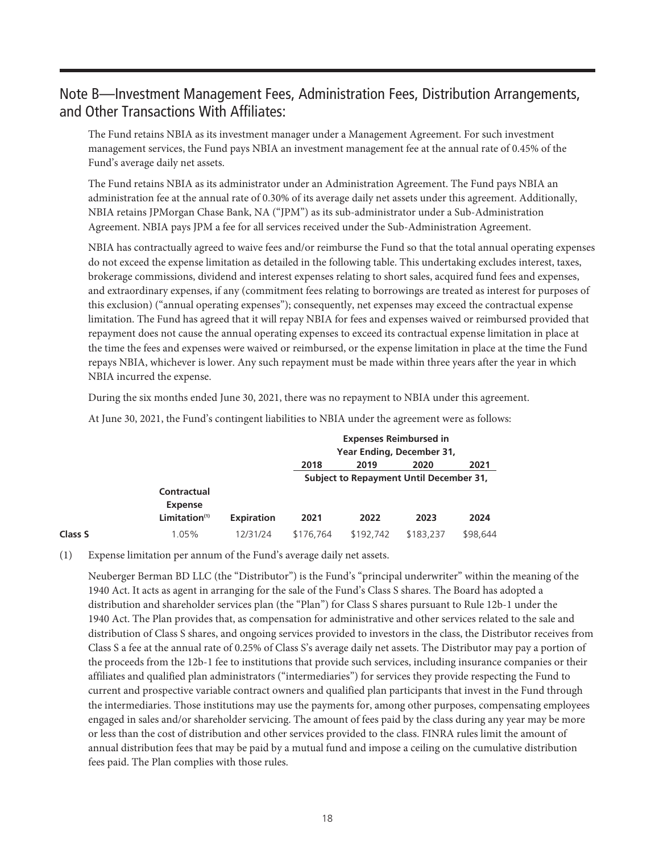### Note B—Investment Management Fees, Administration Fees, Distribution Arrangements, and Other Transactions With Affiliates:

The Fund retains NBIA as its investment manager under a Management Agreement. For such investment management services, the Fund pays NBIA an investment management fee at the annual rate of 0.45% of the Fund's average daily net assets.

The Fund retains NBIA as its administrator under an Administration Agreement. The Fund pays NBIA an administration fee at the annual rate of 0.30% of its average daily net assets under this agreement. Additionally, NBIA retains JPMorgan Chase Bank, NA ("JPM") as its sub-administrator under a Sub-Administration Agreement. NBIA pays JPM a fee for all services received under the Sub-Administration Agreement.

NBIA has contractually agreed to waive fees and/or reimburse the Fund so that the total annual operating expenses do not exceed the expense limitation as detailed in the following table. This undertaking excludes interest, taxes, brokerage commissions, dividend and interest expenses relating to short sales, acquired fund fees and expenses, and extraordinary expenses, if any (commitment fees relating to borrowings are treated as interest for purposes of this exclusion) ("annual operating expenses"); consequently, net expenses may exceed the contractual expense limitation. The Fund has agreed that it will repay NBIA for fees and expenses waived or reimbursed provided that repayment does not cause the annual operating expenses to exceed its contractual expense limitation in place at the time the fees and expenses were waived or reimbursed, or the expense limitation in place at the time the Fund repays NBIA, whichever is lower. Any such repayment must be made within three years after the year in which NBIA incurred the expense.

During the six months ended June 30, 2021, there was no repayment to NBIA under this agreement.

At June 30, 2021, the Fund's contingent liabilities to NBIA under the agreement were as follows:

|         |                           |                   | <b>Expenses Reimbursed in</b>           |           |           |          |  |  |  |  |
|---------|---------------------------|-------------------|-----------------------------------------|-----------|-----------|----------|--|--|--|--|
|         |                           |                   | Year Ending, December 31,               |           |           |          |  |  |  |  |
|         |                           |                   | 2018<br>2019<br>2020                    |           |           |          |  |  |  |  |
|         |                           |                   | Subject to Repayment Until December 31, |           |           |          |  |  |  |  |
|         | Contractual               |                   |                                         |           |           |          |  |  |  |  |
|         | <b>Expense</b>            |                   |                                         |           |           |          |  |  |  |  |
|         | Limitation <sup>(1)</sup> | <b>Expiration</b> | 2021                                    | 2022      | 2023      | 2024     |  |  |  |  |
| Class S | 1.05%                     | 12/31/24          | \$176.764                               | \$192,742 | \$183,237 | \$98.644 |  |  |  |  |

(1) Expense limitation per annum of the Fund's average daily net assets.

Neuberger Berman BD LLC (the "Distributor") is the Fund's "principal underwriter" within the meaning of the 1940 Act. It acts as agent in arranging for the sale of the Fund's Class S shares. The Board has adopted a distribution and shareholder services plan (the "Plan") for Class S shares pursuant to Rule 12b-1 under the 1940 Act. The Plan provides that, as compensation for administrative and other services related to the sale and distribution of Class S shares, and ongoing services provided to investors in the class, the Distributor receives from Class S a fee at the annual rate of 0.25% of Class S's average daily net assets. The Distributor may pay a portion of the proceeds from the 12b-1 fee to institutions that provide such services, including insurance companies or their affiliates and qualified plan administrators ("intermediaries") for services they provide respecting the Fund to current and prospective variable contract owners and qualified plan participants that invest in the Fund through the intermediaries. Those institutions may use the payments for, among other purposes, compensating employees engaged in sales and/or shareholder servicing. The amount of fees paid by the class during any year may be more or less than the cost of distribution and other services provided to the class. FINRA rules limit the amount of annual distribution fees that may be paid by a mutual fund and impose a ceiling on the cumulative distribution fees paid. The Plan complies with those rules.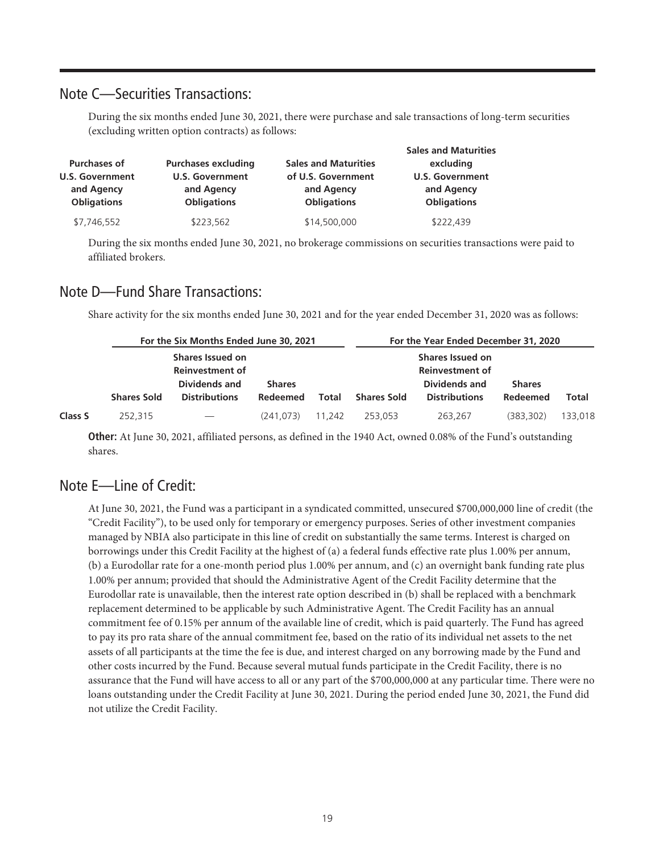### Note C—Securities Transactions:

During the six months ended June 30, 2021, there were purchase and sale transactions of long-term securities (excluding written option contracts) as follows:

| <b>Sales and Maturities</b><br>excluding<br>of U.S. Government<br><b>U.S. Government</b><br>and Agency<br>and Agency |
|----------------------------------------------------------------------------------------------------------------------|
|                                                                                                                      |
| <b>Obligations</b><br><b>Obligations</b>                                                                             |
| \$14,500,000<br>\$222.439                                                                                            |
|                                                                                                                      |

During the six months ended June 30, 2021, no brokerage commissions on securities transactions were paid to affiliated brokers.

### Note D—Fund Share Transactions:

Share activity for the six months ended June 30, 2021 and for the year ended December 31, 2020 was as follows:

|         | For the Six Months Ended June 30, 2021 |                        |               |        | For the Year Ended December 31, 2020 |                        |               |         |  |
|---------|----------------------------------------|------------------------|---------------|--------|--------------------------------------|------------------------|---------------|---------|--|
|         | <b>Shares Issued on</b>                |                        |               |        |                                      |                        |               |         |  |
|         |                                        | <b>Reinvestment of</b> |               |        |                                      | <b>Reinvestment of</b> |               |         |  |
|         | Dividends and                          |                        | <b>Shares</b> |        |                                      | Dividends and          | <b>Shares</b> |         |  |
|         | <b>Shares Sold</b>                     | <b>Distributions</b>   | Redeemed      | Total  | <b>Shares Sold</b>                   | <b>Distributions</b>   | Redeemed      | Total   |  |
| Class S | 252,315                                |                        | (241.073)     | 11.242 | 253.053                              | 263.267                | (383.302)     | 133,018 |  |

**Other:** At June 30, 2021, affiliated persons, as defined in the 1940 Act, owned 0.08% of the Fund's outstanding shares.

### Note E—Line of Credit:

At June 30, 2021, the Fund was a participant in a syndicated committed, unsecured \$700,000,000 line of credit (the "Credit Facility"), to be used only for temporary or emergency purposes. Series of other investment companies managed by NBIA also participate in this line of credit on substantially the same terms. Interest is charged on borrowings under this Credit Facility at the highest of (a) a federal funds effective rate plus 1.00% per annum, (b) a Eurodollar rate for a one-month period plus 1.00% per annum, and (c) an overnight bank funding rate plus 1.00% per annum; provided that should the Administrative Agent of the Credit Facility determine that the Eurodollar rate is unavailable, then the interest rate option described in (b) shall be replaced with a benchmark replacement determined to be applicable by such Administrative Agent. The Credit Facility has an annual commitment fee of 0.15% per annum of the available line of credit, which is paid quarterly. The Fund has agreed to pay its pro rata share of the annual commitment fee, based on the ratio of its individual net assets to the net assets of all participants at the time the fee is due, and interest charged on any borrowing made by the Fund and other costs incurred by the Fund. Because several mutual funds participate in the Credit Facility, there is no assurance that the Fund will have access to all or any part of the \$700,000,000 at any particular time. There were no loans outstanding under the Credit Facility at June 30, 2021. During the period ended June 30, 2021, the Fund did not utilize the Credit Facility.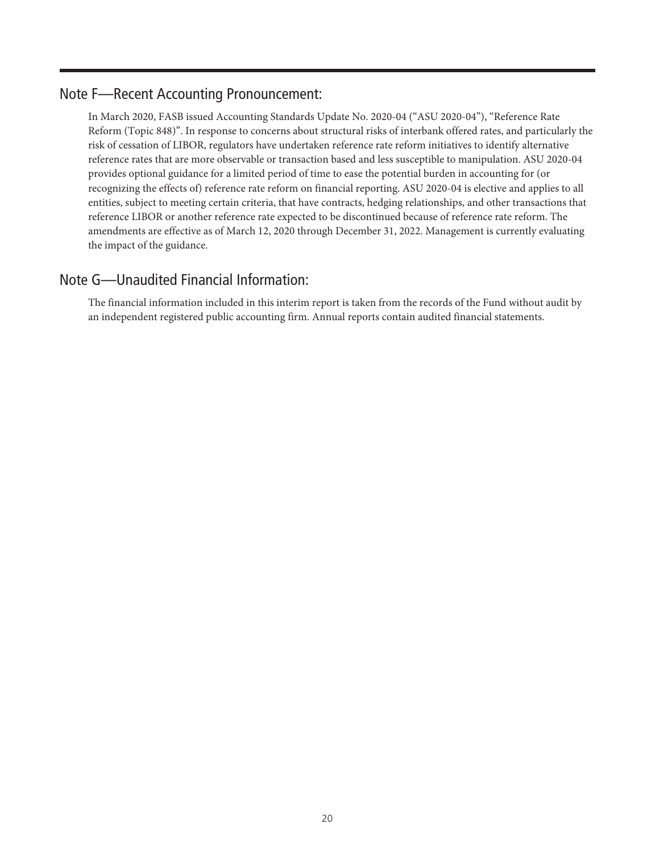### Note F—Recent Accounting Pronouncement:

In March 2020, FASB issued Accounting Standards Update No. 2020-04 ("ASU 2020-04"), "Reference Rate Reform (Topic 848)". In response to concerns about structural risks of interbank offered rates, and particularly the risk of cessation of LIBOR, regulators have undertaken reference rate reform initiatives to identify alternative reference rates that are more observable or transaction based and less susceptible to manipulation. ASU 2020-04 provides optional guidance for a limited period of time to ease the potential burden in accounting for (or recognizing the effects of) reference rate reform on financial reporting. ASU 2020-04 is elective and applies to all entities, subject to meeting certain criteria, that have contracts, hedging relationships, and other transactions that reference LIBOR or another reference rate expected to be discontinued because of reference rate reform. The amendments are effective as of March 12, 2020 through December 31, 2022. Management is currently evaluating the impact of the guidance.

### Note G—Unaudited Financial Information:

The financial information included in this interim report is taken from the records of the Fund without audit by an independent registered public accounting firm. Annual reports contain audited financial statements.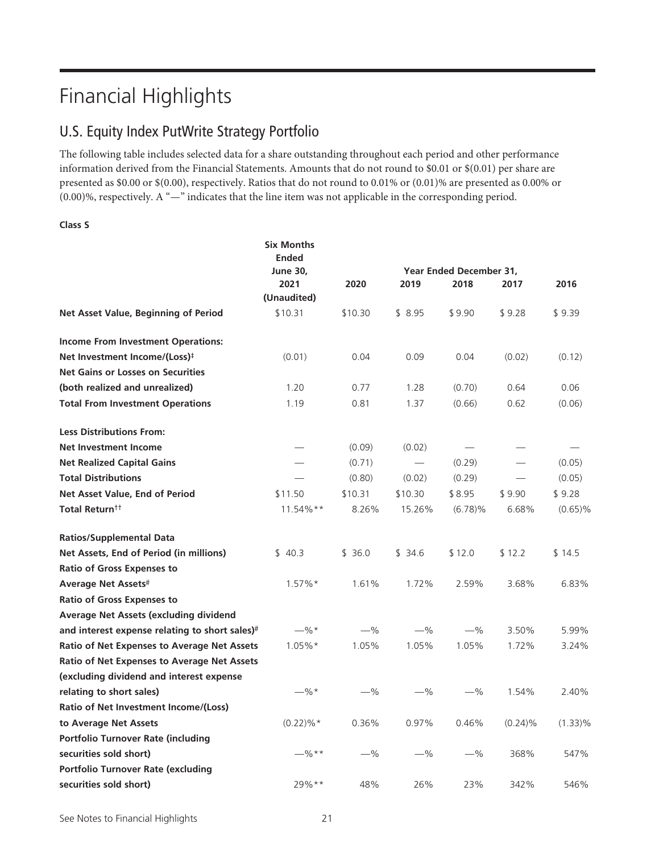## Financial Highlights

### U.S. Equity Index PutWrite Strategy Portfolio

The following table includes selected data for a share outstanding throughout each period and other performance information derived from the Financial Statements. Amounts that do not round to \$0.01 or \$(0.01) per share are presented as \$0.00 or \$(0.00), respectively. Ratios that do not round to 0.01% or (0.01)% are presented as 0.00% or (0.00)%, respectively. A "—" indicates that the line item was not applicable in the corresponding period.

#### **Class S**

|                                                    | <b>Six Months</b><br><b>Ended</b> |         |         |                         |            |            |  |
|----------------------------------------------------|-----------------------------------|---------|---------|-------------------------|------------|------------|--|
|                                                    | <b>June 30,</b>                   |         |         | Year Ended December 31, |            |            |  |
|                                                    | 2021<br>(Unaudited)               | 2020    | 2019    | 2018                    | 2017       | 2016       |  |
| Net Asset Value, Beginning of Period               | \$10.31                           | \$10.30 | \$8.95  | \$9.90                  | \$9.28     | \$9.39     |  |
| <b>Income From Investment Operations:</b>          |                                   |         |         |                         |            |            |  |
| Net Investment Income/(Loss) <sup>‡</sup>          | (0.01)                            | 0.04    | 0.09    | 0.04                    | (0.02)     | (0.12)     |  |
| <b>Net Gains or Losses on Securities</b>           |                                   |         |         |                         |            |            |  |
| (both realized and unrealized)                     | 1.20                              | 0.77    | 1.28    | (0.70)                  | 0.64       | 0.06       |  |
| <b>Total From Investment Operations</b>            | 1.19                              | 0.81    | 1.37    | (0.66)                  | 0.62       | (0.06)     |  |
|                                                    |                                   |         |         |                         |            |            |  |
| <b>Less Distributions From:</b>                    |                                   |         |         |                         |            |            |  |
| <b>Net Investment Income</b>                       |                                   | (0.09)  | (0.02)  |                         |            |            |  |
| <b>Net Realized Capital Gains</b>                  |                                   | (0.71)  |         | (0.29)                  |            | (0.05)     |  |
| <b>Total Distributions</b>                         |                                   | (0.80)  | (0.02)  | (0.29)                  |            | (0.05)     |  |
| Net Asset Value, End of Period                     | \$11.50                           | \$10.31 | \$10.30 | \$8.95                  | \$9.90     | \$9.28     |  |
| Total Return <sup>††</sup>                         | $11.54\%**$                       | 8.26%   | 15.26%  | (6.78)%                 | 6.68%      | $(0.65)\%$ |  |
| <b>Ratios/Supplemental Data</b>                    |                                   |         |         |                         |            |            |  |
| Net Assets, End of Period (in millions)            | \$40.3                            | \$36.0  | \$34.6  | \$12.0                  | \$12.2     | \$14.5     |  |
| <b>Ratio of Gross Expenses to</b>                  |                                   |         |         |                         |            |            |  |
| Average Net Assets#                                | $1.57\%*$                         | 1.61%   | 1.72%   | 2.59%                   | 3.68%      | 6.83%      |  |
| <b>Ratio of Gross Expenses to</b>                  |                                   |         |         |                         |            |            |  |
| Average Net Assets (excluding dividend             |                                   |         |         |                         |            |            |  |
| and interest expense relating to short sales)#     | $-$ %*                            | $-$ %   | $-$ %   | $-$ %                   | 3.50%      | 5.99%      |  |
| <b>Ratio of Net Expenses to Average Net Assets</b> | $1.05\%*$                         | 1.05%   | 1.05%   | 1.05%                   | 1.72%      | 3.24%      |  |
| Ratio of Net Expenses to Average Net Assets        |                                   |         |         |                         |            |            |  |
| (excluding dividend and interest expense           |                                   |         |         |                         |            |            |  |
| relating to short sales)                           | —%*                               | $-\%$   | $-\%$   | $-\%$                   | 1.54%      | 2.40%      |  |
| Ratio of Net Investment Income/(Loss)              |                                   |         |         |                         |            |            |  |
| to Average Net Assets                              | $(0.22)\%$ *                      | 0.36%   | 0.97%   | 0.46%                   | $(0.24)\%$ | $(1.33)\%$ |  |
| <b>Portfolio Turnover Rate (including</b>          |                                   |         |         |                         |            |            |  |
| securities sold short)                             | $-$ %**                           | $-$ %   | $-$ %   | $-$ %                   | 368%       | 547%       |  |
| <b>Portfolio Turnover Rate (excluding</b>          |                                   |         |         |                         |            |            |  |
| securities sold short)                             | $29\%**$                          | 48%     | 26%     | 23%                     | 342%       | 546%       |  |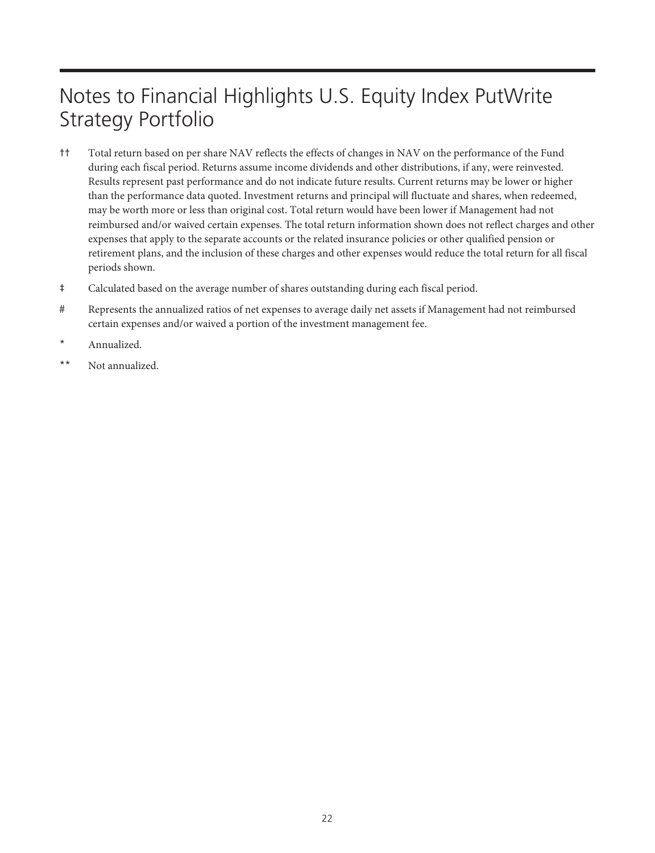## Notes to Financial Highlights U.S. Equity Index PutWrite Strategy Portfolio

- †† Total return based on per share NAV reflects the effects of changes in NAV on the performance of the Fund during each fiscal period. Returns assume income dividends and other distributions, if any, were reinvested. Results represent past performance and do not indicate future results. Current returns may be lower or higher than the performance data quoted. Investment returns and principal will fluctuate and shares, when redeemed, may be worth more or less than original cost. Total return would have been lower if Management had not reimbursed and/or waived certain expenses. The total return information shown does not reflect charges and other expenses that apply to the separate accounts or the related insurance policies or other qualified pension or retirement plans, and the inclusion of these charges and other expenses would reduce the total return for all fiscal periods shown.
- ‡ Calculated based on the average number of shares outstanding during each fiscal period.
- # Represents the annualized ratios of net expenses to average daily net assets if Management had not reimbursed certain expenses and/or waived a portion of the investment management fee.
- \* Annualized.
- \*\* Not annualized.